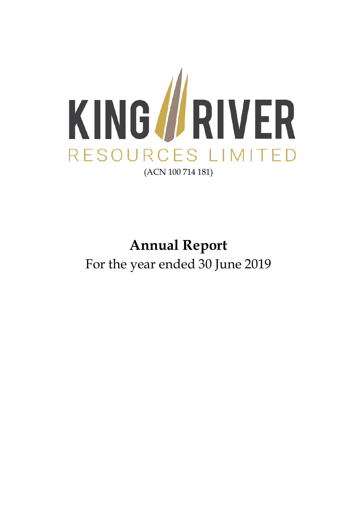

# **Annual Report** For the year ended 30 June 2019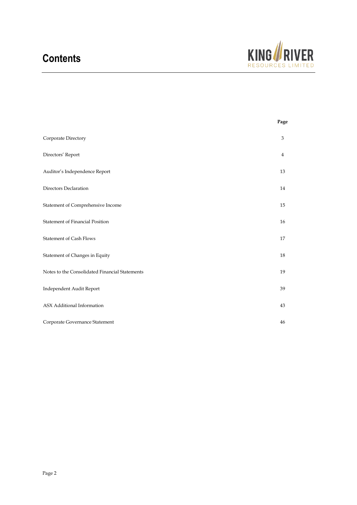# **Contents**



|                                                | Page           |
|------------------------------------------------|----------------|
| Corporate Directory                            | 3              |
| Directors' Report                              | $\overline{4}$ |
| Auditor's Independence Report                  | 13             |
| Directors Declaration                          | 14             |
| Statement of Comprehensive Income              | 15             |
| Statement of Financial Position                | 16             |
| <b>Statement of Cash Flows</b>                 | 17             |
| Statement of Changes in Equity                 | 18             |
| Notes to the Consolidated Financial Statements | 19             |
| Independent Audit Report                       | 39             |
| ASX Additional Information                     | 43             |
| Corporate Governance Statement                 | 46             |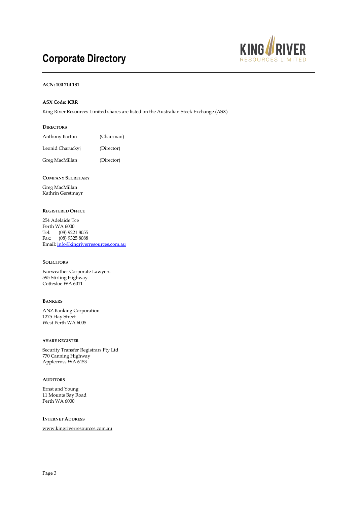# **Corporate Directory**



# **ACN: 100 714 181**

# **ASX Code: KRR**

King River Resources Limited shares are listed on the Australian Stock Exchange (ASX)

#### **DIRECTORS**

| Anthony Barton   | (Chairman) |
|------------------|------------|
| Leonid Charuckyj | (Director) |
| Greg MacMillan   | (Director) |

#### **COMPANY SECRETARY**

Greg MacMillan Kathrin Gerstmayr

#### **REGISTERED OFFICE**

254 Adelaide Tce Perth WA 6000 Tel: (08) 9221 8055 Fax: (08) 9325 8088 Email[: info@kingriverresources.com.au](mailto:info@kingriverresources.com.au)

#### **SOLICITORS**

Fairweather Corporate Lawyers 595 Stirling Highway Cottesloe WA 6011

#### **BANKERS**

ANZ Banking Corporation 1275 Hay Street West Perth WA 6005

# **SHARE REGISTER**

Security Transfer Registrars Pty Ltd 770 Canning Highway Applecross WA 6153

### **AUDITORS**

Ernst and Young 11 Mounts Bay Road Perth WA 6000

#### **INTERNET ADDRESS**

www.kingriverresources.com.au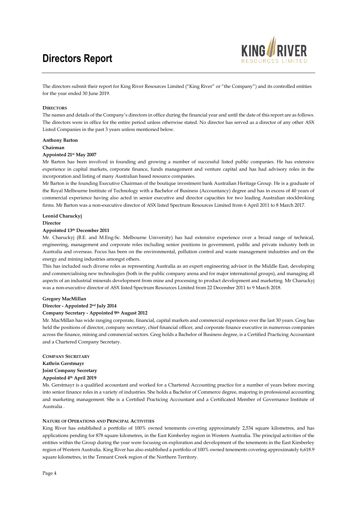

The directors submit their report for King River Resources Limited ("King River" or "the Company") and its controlled entities for the year ended 30 June 2019.

#### **DIRECTORS**

The names and details of the Company's directors in office during the financial year and until the date of this report are as follows. The directors were in office for the entire period unless otherwise stated. No director has served as a director of any other ASX Listed Companies in the past 3 years unless mentioned below.

#### **Anthony Barton**

### **Chairman**

#### **Appointed 21st May 2007**

Mr Barton has been involved in founding and growing a number of successful listed public companies. He has extensive experience in capital markets, corporate finance, funds management and venture capital and has had advisory roles in the incorporation and listing of many Australian based resource companies.

Mr Barton is the founding Executive Chairman of the boutique investment bank Australian Heritage Group. He is a graduate of the Royal Melbourne Institute of Technology with a Bachelor of Business (Accountancy) degree and has in excess of 40 years of commercial experience having also acted in senior executive and director capacities for two leading Australian stockbroking firms. Mr Barton was a non-executive director of ASX listed Spectrum Resources Limited from 6 April 2011 to 8 March 2017.

# **Leonid Charuckyj**

#### **Director**

#### **Appointed 13th December 2011**

Mr. Charuckyj (B.E. and M.Eng-Sc. Melbourne University) has had extensive experience over a broad range of technical, engineering, management and corporate roles including senior positions in government, public and private industry both in Australia and overseas. Focus has been on the environmental, pollution control and waste management industries and on the energy and mining industries amongst others.

This has included such diverse roles as representing Australia as an expert engineering advisor in the Middle East, developing and commercialising new technologies (both in the public company arena and for major international groups), and managing all aspects of an industrial minerals development from mine and processing to product development and marketing. Mr Charuckyj was a non-executive director of ASX listed Spectrum Resources Limited from 22 December 2011 to 9 March 2018.

#### **Gregory MacMillan**

# **Director - Appointed 2 nd July 2014**

#### **Company Secretary - Appointed 9th August 2012**

Mr. MacMillan has wide ranging corporate, financial, capital markets and commercial experience over the last 30 years. Greg has held the positions of director, company secretary, chief financial officer, and corporate finance executive in numerous companies across the finance, mining and commercial sectors. Greg holds a Bachelor of Business degree, is a Certified Practicing Accountant and a Chartered Company Secretary.

# **COMPANY SECRETARY Kathrin Gerstmayr Joint Company Secretary Appointed 4 th April 2019**

Ms. Gerstmayr is a qualified accountant and worked for a Chartered Accounting practice for a number of years before moving into senior finance roles in a variety of industries. She holds a Bachelor of Commerce degree, majoring in professional accounting and marketing management. She is a Certified Practicing Accountant and a Certificated Member of Governance Institute of Australia .

#### **NATURE OF OPERATIONS AND PRINCIPAL ACTIVITIES**

King River has established a portfolio of 100% owned tenements covering approximately 2,534 square kilometres, and has applications pending for 878 square kilometres, in the East Kimberley region in Western Australia. The principal activities of the entities within the Group during the year were focusing on exploration and development of the tenements in the East Kimberley region of Western Australia. King River has also established a portfolio of 100% owned tenements covering approximately 6,618.9 square kilometres, in the Tennant Creek region of the Northern Territory.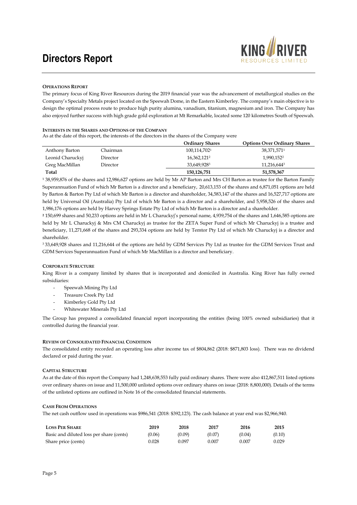

# **OPERATIONS REPORT**

The primary focus of King River Resources during the 2019 financial year was the advancement of metallurgical studies on the Company's Specialty Metals project located on the Speewah Dome, in the Eastern Kimberley. The company's main objective is to design the optimal process route to produce high purity alumina, vanadium, titanium, magnesium and iron. The Company has also enjoyed further success with high grade gold exploration at Mt Remarkable, located some 120 kilometres South of Speewah.

# **INTERESTS IN THE SHARES AND OPTIONS OF THE COMPANY**

As at the date of this report, the interests of the directors in the shares of the Company were

|                  |          | <b>Ordinary Shares</b>  | <b>Options Over Ordinary Shares</b> |
|------------------|----------|-------------------------|-------------------------------------|
| Anthony Barton   | Chairman | 100,114,7021            | 38,371,5711                         |
| Leonid Charuckyj | Director | 16,362,121 <sup>2</sup> | 1,990,152 <sup>2</sup>              |
| Greg MacMillan   | Director | 33.649.9283             | 11.216.6443                         |
| Total            |          | 150,126,751             | 51,578,367                          |

<sup>1</sup> 38,959,876 of the shares and 12,986,627 options are held by Mr AP Barton and Mrs CH Barton as trustee for the Barton Family Superannuation Fund of which Mr Barton is a director and a beneficiary, 20,613,153 of the shares and 6,871,051 options are held by Barton & Barton Pty Ltd of which Mr Barton is a director and shareholder, 34,583,147 of the shares and 16,527,717 options are held by Universal Oil (Australia) Pty Ltd of which Mr Barton is a director and a shareholder, and 5,958,526 of the shares and 1,986,176 options are held by Harvey Springs Estate Pty Ltd of which Mr Barton is a director and a shareholder.

**<sup>2</sup>** 150,699 shares and 50,233 options are held in Mr L Charuckyj's personal name, 4,939,754 of the shares and 1,646,585 options are held by Mr L Charuckyj & Mrs CM Charuckyj as trustee for the ZETA Super Fund of which Mr Charuckyj is a trustee and beneficiary, 11,271,668 of the shares and 293,334 options are held by Temtor Pty Ltd of which Mr Charuckyj is a director and shareholder.

<sup>3</sup> 33,649,928 shares and 11,216,644 of the options are held by GDM Services Pty Ltd as trustee for the GDM Services Trust and GDM Services Superannuation Fund of which Mr MacMillan is a director and beneficiary.

# **CORPORATE STRUCTURE**

King River is a company limited by shares that is incorporated and domiciled in Australia. King River has fully owned subsidiaries:

- Speewah Mining Pty Ltd
- Treasure Creek Pty Ltd
- Kimberley Gold Pty Ltd
- Whitewater Minerals Pty Ltd

The Group has prepared a consolidated financial report incorporating the entities (being 100% owned subsidiaries) that it controlled during the financial year.

# **REVIEW OF CONSOLIDATED FINANCIAL CONDITION**

The consolidated entity recorded an operating loss after income tax of \$804,862 (2018: \$871,803 loss). There was no dividend declared or paid during the year.

# **CAPITAL STRUCTURE**

As at the date of this report the Company had 1,248,638,553 fully paid ordinary shares. There were also 412,867,511 listed options over ordinary shares on issue and 11,500,000 unlisted options over ordinary shares on issue (2018: 8,800,000). Details of the terms of the unlisted options are outlined in Note 16 of the consolidated financial statements.

# **CASH FROM OPERATIONS**

The net cash outflow used in operations was \$986,541 (2018: \$392,123). The cash balance at year end was \$2,966,940.

| <b>LOSS PER SHARE</b>                    | 2019   | 2018   | 2017   | 2016   | 2015   |
|------------------------------------------|--------|--------|--------|--------|--------|
| Basic and diluted loss per share (cents) | (0.06) | (0.09) | (0.07) | (0.04) | (0.10) |
| Share price (cents)                      | 0.028  | በ 097  | 0.007  | 0.007  | 0.029  |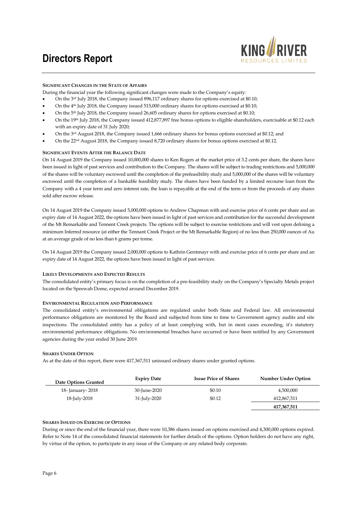

# **SIGNIFICANT CHANGES IN THE STATE OF AFFAIRS**

- During the financial year the following significant changes were made to the Company's equity:
- On the 3rd July 2018, the Company issued 896,117 ordinary shares for options exercised at \$0.10;
- On the 4th July 2018, the Company issued 515,000 ordinary shares for options exercised at \$0.10;
- On the 5th July 2018, the Company issued 26,605 ordinary shares for options exercised at \$0.10;
- On the 19<sup>th</sup> July 2018, the Company issued 412,877,897 free bonus options to eligible shareholders, exercisable at \$0.12 each with an expiry date of 31 July 2020;
- On the 3<sup>rd</sup> August 2018, the Company issued 1,666 ordinary shares for bonus options exercised at \$0.12; and
- On the 22nd August 2018, the Company issued 8,720 ordinary shares for bonus options exercised at \$0.12.

# **SIGNIFICANT EVENTS AFTER THE BALANCE DATE**

On 14 August 2019 the Company issued 10,000,000 shares to Ken Rogers at the market price of 3.2 cents per share, the shares have been issued in light of past services and contribution to the Company. The shares will be subject to trading restrictions and 5,000,000 of the shares will be voluntary escrowed until the completion of the prefeasibility study and 5,000,000 of the shares will be voluntary escrowed until the completion of a bankable feasibility study. The shares have been funded by a limited recourse loan from the Company with a 4 year term and zero interest rate, the loan is repayable at the end of the term or from the proceeds of any shares sold after escrow release.

On 14 August 2019 the Company issued 5,000,000 options to Andrew Chapman with and exercise price of 6 cents per share and an expiry date of 14 August 2022, the options have been issued in light of past services and contribution for the successful development of the Mt Remarkable and Tennent Creek projects. The options will be subject to exercise restrictions and will vest upon defining a minimum Inferred resource (at either the Tennant Creek Project or the Mt Remarkable Region) of no less than 250,000 ounces of Au at an average grade of no less than 6 grams per tonne.

On 14 August 2019 the Company issued 2,000,000 options to Kathrin Gerstmayr with and exercise price of 6 cents per share and an expiry date of 14 August 2022, the options have been issued in light of past services.

# **LIKELY DEVELOPMENTS AND EXPECTED RESULTS**

The consolidated entity's primary focus is on the completion of a pre-feasibility study on the Company's Specialty Metals project located on the Speewah Dome, expected around December 2019.

# **ENVIRONMENTAL REGULATION AND PERFORMANCE**

The consolidated entity's environmental obligations are regulated under both State and Federal law. All environmental performance obligations are monitored by the Board and subjected from time to time to Government agency audits and site inspections. The consolidated entity has a policy of at least complying with, but in most cases exceeding, it's statutory environmental performance obligations. No environmental breaches have occurred or have been notified by any Government agencies during the year ended 30 June 2019.

# **SHARES UNDER OPTION**

As at the date of this report, there were 417,367,511 unissued ordinary shares under granted options.

| Date Options Granted | <b>Expiry Date</b> | <b>Issue Price of Shares</b> | Number Under Option |
|----------------------|--------------------|------------------------------|---------------------|
| 18- January- 2018    | 30-June-2020       | \$0.10                       | 4,500,000           |
| 18-July-2018         | 31-July-2020       | \$0.12                       | 412,867,511         |
|                      |                    |                              | 417,367,511         |

#### **SHARES ISSUED ON EXERCISE OF OPTIONS**

During or since the end of the financial year, there were 10,386 shares issued on options exercised and 4,300,000 options expired. Refer to Note 14 of the consolidated financial statements for further details of the options. Option holders do not have any right, by virtue of the option, to participate in any issue of the Company or any related body corporate.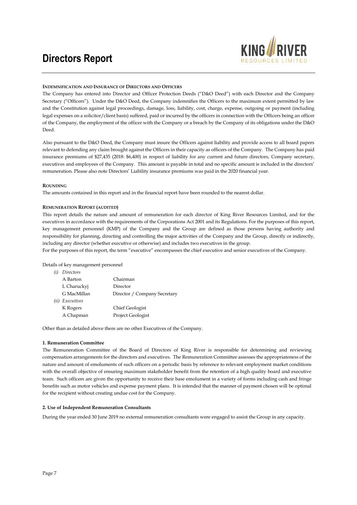

# **INDEMNIFICATION AND INSURANCE OF DIRECTORS AND OFFICERS**

The Company has entered into Director and Officer Protection Deeds ("D&O Deed") with each Director and the Company Secretary ("Officers"). Under the D&O Deed, the Company indemnifies the Officers to the maximum extent permitted by law and the Constitution against legal proceedings, damage, loss, liability, cost, charge, expense, outgoing or payment (including legal expenses on a solicitor/client basis) suffered, paid or incurred by the officers in connection with the Officers being an officer of the Company, the employment of the officer with the Company or a breach by the Company of its obligations under the D&O Deed.

Also pursuant to the D&O Deed, the Company must insure the Officers against liability and provide access to all board papers relevant to defending any claim brought against the Officers in their capacity as officers of the Company. The Company has paid insurance premiums of \$27,435 (2018: \$6,400) in respect of liability for any current and future directors, Company secretary, executives and employees of the Company. This amount is payable in total and no specific amount is included in the directors' remuneration. Please also note Directors' Liability insurance premiums was paid in the 2020 financial year.

# **ROUNDING**

The amounts contained in this report and in the financial report have been rounded to the nearest dollar.

#### **REMUNERATION REPORT (AUDITED)**

This report details the nature and amount of remuneration for each director of King River Resources Limited, and for the executives in accordance with the requirements of the Corporations Act 2001 and its Regulations. For the purposes of this report, key management personnel (KMP) of the Company and the Group are defined as those persons having authority and responsibility for planning, directing and controlling the major activities of the Company and the Group, directly or indirectly, including any director (whether executive or otherwise) and includes two executives in the group.

For the purposes of this report, the term "executive" encompasses the chief executive and senior executives of the Company.

Details of key management personnel

| (i) | Directors                |                              |
|-----|--------------------------|------------------------------|
|     | A Barton                 | Chairman                     |
|     | L Charuckyj              | Director                     |
|     | G MacMillan              | Director / Company Secretary |
|     | ( <i>ii</i> ) Executives |                              |
|     | K Rogers                 | Chief Geologist              |
|     | A Chapman                | Project Geologist            |
|     |                          |                              |

Other than as detailed above there are no other Executives of the Company.

#### **1. Remuneration Committee**

The Remuneration Committee of the Board of Directors of King River is responsible for determining and reviewing compensation arrangements for the directors and executives. The Remuneration Committee assesses the appropriateness of the nature and amount of emoluments of such officers on a periodic basis by reference to relevant employment market conditions with the overall objective of ensuring maximum stakeholder benefit from the retention of a high quality board and executive team. Such officers are given the opportunity to receive their base emolument in a variety of forms including cash and fringe benefits such as motor vehicles and expense payment plans. It is intended that the manner of payment chosen will be optimal for the recipient without creating undue cost for the Company.

#### **2. Use of Independent Remuneration Consultants**

During the year ended 30 June 2019 no external remuneration consultants were engaged to assist the Group in any capacity.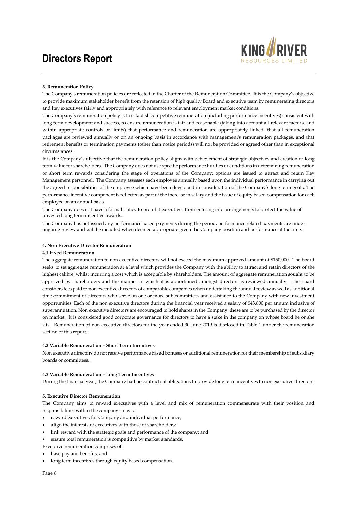

# **3. Remuneration Policy**

The Company's remuneration policies are reflected in the Charter of the Remuneration Committee. It is the Company's objective to provide maximum stakeholder benefit from the retention of high quality Board and executive team by remunerating directors and key executives fairly and appropriately with reference to relevant employment market conditions.

The Company's remuneration policy is to establish competitive remuneration (including performance incentives) consistent with long term development and success, to ensure remuneration is fair and reasonable (taking into account all relevant factors, and within appropriate controls or limits) that performance and remuneration are appropriately linked, that all remuneration packages are reviewed annually or on an ongoing basis in accordance with management's remuneration packages, and that retirement benefits or termination payments (other than notice periods) will not be provided or agreed other than in exceptional circumstances.

It is the Company's objective that the remuneration policy aligns with achievement of strategic objectives and creation of long term value for shareholders. The Company does not use specific performance hurdles or conditions in determining remuneration or short term rewards considering the stage of operations of the Company; options are issued to attract and retain Key Management personnel. The Company assesses each employee annually based upon the individual performance in carrying out the agreed responsibilities of the employee which have been developed in consideration of the Company's long term goals. The performance incentive component is reflected as part of the increase in salary and the issue of equity based compensation for each employee on an annual basis.

The Company does not have a formal policy to prohibit executives from entering into arrangements to protect the value of unvested long term incentive awards.

The Company has not issued any performance based payments during the period, performance related payments are under ongoing review and will be included when deemed appropriate given the Company position and performance at the time.

#### **4. Non Executive Director Remuneration**

# **4.1 Fixed Remuneration**

The aggregate remuneration to non executive directors will not exceed the maximum approved amount of \$150,000. The board seeks to set aggregate remuneration at a level which provides the Company with the ability to attract and retain directors of the highest calibre, whilst incurring a cost which is acceptable by shareholders. The amount of aggregate remuneration sought to be approved by shareholders and the manner in which it is apportioned amongst directors is reviewed annually. The board considers fees paid to non executive directors of comparable companies when undertaking the annual review as well as additional time commitment of directors who serve on one or more sub committees and assistance to the Company with new investment opportunities. Each of the non executive directors during the financial year received a salary of \$43,800 per annum inclusive of superannuation. Non executive directors are encouraged to hold shares in the Company; these are to be purchased by the director on market. It is considered good corporate governance for directors to have a stake in the company on whose board he or she sits. Remuneration of non executive directors for the year ended 30 June 2019 is disclosed in Table 1 under the remuneration section of this report.

#### **4.2 Variable Remuneration – Short Term Incentives**

Non executive directors do not receive performance based bonuses or additional remuneration for their membership of subsidiary boards or committees.

# **4.3 Variable Remuneration – Long Term Incentives**

During the financial year, the Company had no contractual obligations to provide long term incentives to non executive directors.

#### **5. Executive Director Remuneration**

The Company aims to reward executives with a level and mix of remuneration commensurate with their position and responsibilities within the company so as to:

- reward executives for Company and individual performance;
- align the interests of executives with those of shareholders;
- link reward with the strategic goals and performance of the company; and
- ensure total remuneration is competitive by market standards.

Executive remuneration comprises of:

- base pay and benefits; and
- long term incentives through equity based compensation.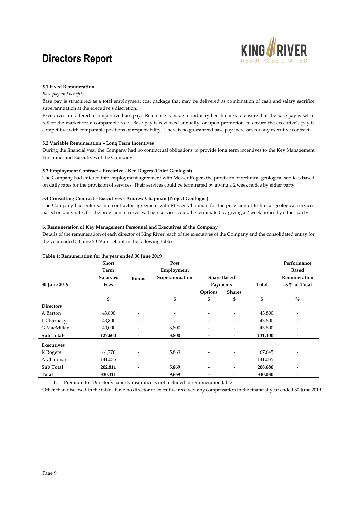

# **5.1 Fixed Remuneration**

*Base pay and benefits*

Base pay is structured as a total employment cost package that may be delivered as combination of cash and salary sacrifice superannuation at the executive's discretion.

Executives are offered a competitive base pay. Reference is made to industry benchmarks to ensure that the base pay is set to reflect the market for a comparable role. Base pay is reviewed annually, or upon promotion, to ensure the executive's pay is competitive with comparable positions of responsibility. There is no guaranteed base pay increases for any executive contract.

# **5.2 Variable Remuneration – Long Term Incentives**

During the financial year the Company had no contractual obligations to provide long term incentives to the Key Management Personnel and Executives of the Company.

#### **5.3 Employment Contract – Executive - Ken Rogers (Chief Geologist)**

The Company had entered into employment agreement with Messer Rogers the provision of technical geological services based on daily rates for the provision of services. Their services could be terminated by giving a 2 week notice by either party.

#### **5.4 Consulting Contract – Executives - Andrew Chapman (Project Geologist)**

The Company had entered into contractor agreement with Messer Chapman for the provision of technical geological services based on daily rates for the provision of services. Their services could be terminated by giving a 2 week notice by either party.

# **6. Remuneration of Key Management Personnel and Executives of the Company**

Details of the remuneration of each director of King River, each of the executives of the Company and the consolidated entity for the year ended 30 June 2019 are set out in the following tables.

| 1 apre 1. Remaneration for the year enacu 50 june 2017 | <b>Short</b> |                              | Post                     |                          |                          |         | Performance   |
|--------------------------------------------------------|--------------|------------------------------|--------------------------|--------------------------|--------------------------|---------|---------------|
|                                                        |              |                              |                          |                          |                          |         |               |
|                                                        | Term         |                              | Employment               |                          |                          |         | <b>Based</b>  |
|                                                        | Salary &     | <b>Bonus</b>                 | Superannuation           | <b>Share Based</b>       |                          |         | Remuneration  |
| 30 June 2019                                           | Fees         |                              |                          | Payments                 |                          | Total   | as % of Total |
|                                                        |              |                              |                          | Options                  | <b>Shares</b>            |         |               |
|                                                        | \$           |                              | \$                       | \$                       | \$                       | \$      | $\frac{0}{0}$ |
| <b>Directors</b>                                       |              |                              |                          |                          |                          |         |               |
| A Barton                                               | 43,800       | $\overline{\phantom{0}}$     | ۰                        | ۰                        | ٠                        | 43,800  |               |
| L Charuckyj                                            | 43,800       | ۰                            |                          |                          |                          | 43,800  |               |
| G MacMillan                                            | 40,000       | $\qquad \qquad \blacksquare$ | 3,800                    | $\overline{\phantom{a}}$ | $\overline{\phantom{0}}$ | 43,800  |               |
| Sub Total <sup>1</sup>                                 | 127,600      | -                            | 3,800                    | -                        | -                        | 131,400 | -             |
| <b>Executives</b>                                      |              |                              |                          |                          |                          |         |               |
| K Rogers                                               | 61,776       | $\overline{\phantom{a}}$     | 5,869                    | ٠                        | $\overline{\phantom{a}}$ | 67,645  | -             |
| A Chapman                                              | 141,035      | $\overline{\phantom{0}}$     | $\overline{\phantom{a}}$ | -                        | $\overline{\phantom{a}}$ | 141,035 | -             |
| Sub Total                                              | 202,811      | -                            | 5,869                    | -                        | $\overline{\phantom{a}}$ | 208,680 | -             |
| Total                                                  | 330,411      |                              | 9,669                    |                          |                          | 340,080 |               |

#### **Table 1: Remuneration for the year ended 30 June 2019**

1. Premium for Director's liability insurance is not included in remuneration table.

Other than disclosed in the table above no director or executive received any compensation in the financial year ended 30 June 2019.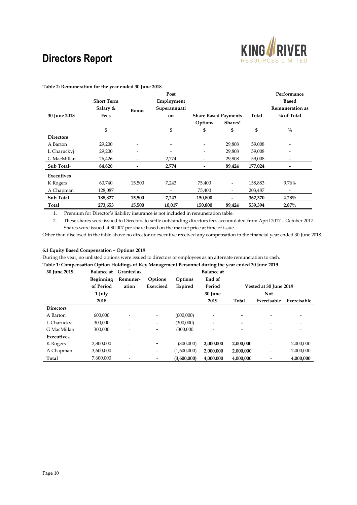

|                        | <b>Short Term</b><br>Salary & | <b>Bonus</b> | Post<br>Employment<br>Superannuati |                                        |                          |         | Performance<br><b>Based</b><br><b>Remuneration as</b> |
|------------------------|-------------------------------|--------------|------------------------------------|----------------------------------------|--------------------------|---------|-------------------------------------------------------|
| 30 June 2018           | Fees                          |              | on                                 | <b>Share Based Payments</b><br>Options | Shares <sup>2</sup>      | Total   | $\%$ of Total                                         |
|                        | \$                            |              | \$                                 | \$                                     | \$                       | \$      | $\frac{0}{0}$                                         |
| <b>Directors</b>       |                               |              |                                    |                                        |                          |         |                                                       |
| A Barton               | 29,200                        |              |                                    |                                        | 29,808                   | 59,008  |                                                       |
| L Charuckyj            | 29,200                        |              |                                    |                                        | 29,808                   | 59,008  |                                                       |
| G MacMillan            | 26,426                        |              | 2,774                              |                                        | 29,808                   | 59,008  | $\overline{\phantom{a}}$                              |
| Sub Total <sup>1</sup> | 84,826                        |              | 2,774                              |                                        | 89,424                   | 177,024 |                                                       |
| Executives             |                               |              |                                    |                                        |                          |         |                                                       |
| K Rogers               | 60,740                        | 15,500       | 7,243                              | 75,400                                 | $\overline{\phantom{0}}$ | 158,883 | 9.76%                                                 |
| A Chapman              | 128,087                       |              |                                    | 75,400                                 | $\overline{\phantom{a}}$ | 203,487 | $\overline{\phantom{a}}$                              |
| Sub Total              | 188,827                       | 15,500       | 7,243                              | 150,800                                | -                        | 362,370 | $4.28\%$                                              |
| Total                  | 273,653                       | 15,500       | 10,017                             | 150,800                                | 89,424                   | 539,394 | $2.87\%$                                              |

#### **Table 2: Remuneration for the year ended 30 June 2018**

1. Premium for Director's liability insurance is not included in remuneration table.

2. These shares were issued to Directors to settle outstanding directors fees accumulated from April 2017 – October 2017. Shares were issued at \$0.007 per share based on the market price at time of issue.

Other than disclosed in the table above no director or executive received any compensation in the financial year ended 30 June 2018.

# **6.1 Equity Based Compensation – Options 2019**

During the year, no unlisted options were issued to directors or employees as an alternate remuneration to cash.

**Table 1: Compensation Option Holdings of Key Management Personnel during the year ended 30 June 2019**

| 30 June 2019     | Balance at       | Granted as |                          |             | <b>Balance</b> at |           |                        |             |
|------------------|------------------|------------|--------------------------|-------------|-------------------|-----------|------------------------|-------------|
|                  | <b>Beginning</b> | Remuner-   | Options                  | Options     | End of            |           |                        |             |
|                  | of Period        | ation      | Exercised                | Expired     | Period            |           | Vested at 30 June 2019 |             |
|                  | 1 July           |            |                          |             | 30 June           |           | <b>Not</b>             |             |
|                  | 2018             |            |                          |             | 2019              | Total     | Exercisable            | Exercisable |
| <b>Directors</b> |                  |            |                          |             |                   |           |                        |             |
| A Barton         | 600,000          |            | ۰                        | (600,000)   |                   |           |                        |             |
| L Charuckyj      | 300,000          |            | $\overline{\phantom{0}}$ | (300,000)   | ٠                 | -         | -                      |             |
| G MacMillan      | 300,000          |            | -                        | (300,000)   |                   |           |                        |             |
| Executives       |                  |            |                          |             |                   |           |                        |             |
| K Rogers         | 2,800,000        | -          | ۰                        | (800,000)   | 2,000,000         | 2,000,000 |                        | 2,000,000   |
| A Chapman        | 3,600,000        |            | -                        | (1,600,000) | 2,000,000         | 2,000,000 |                        | 2,000,000   |
| Total            | 7,600,000        |            | -                        | (3,600,000) | 4.000.000         | 4,000,000 |                        | 4,000,000   |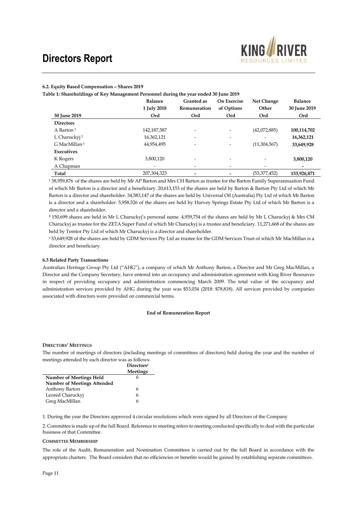

# **6.2. Equity Based Compensation – Shares 2019**

**Table 1: Shareholdings of Key Management Personnel during the year ended 30 June 2019**

| ີ<br>┙<br>$\cdot$        | <b>Balance</b><br>1 July 2018 | $\cdot$<br><b>Granted</b> as<br>Remuneration | On Exercise<br>of Options | <b>Net Change</b><br>Other | Balance<br>30 June 2019 |
|--------------------------|-------------------------------|----------------------------------------------|---------------------------|----------------------------|-------------------------|
| 30 June 2019             | Ord                           | Ord                                          | Ord                       | Ord                        | Ord                     |
| <b>Directors</b>         |                               |                                              |                           |                            |                         |
| A Barton $1$             | 142,187,587                   | $\overline{\phantom{0}}$                     |                           | (42,072,885)               | 100,114,702             |
| L Charuckyj <sup>2</sup> | 16,362,121                    | $\overline{\phantom{0}}$                     | -                         |                            | 16,362,121              |
| G MacMillan <sup>3</sup> | 44,954,495                    | $\overline{\phantom{a}}$                     |                           | (11,304,567)               | 33,649,928              |
| Executives               |                               |                                              |                           |                            |                         |
| K Rogers                 | 3,800,120                     | $\overline{\phantom{0}}$                     | -                         | -                          | 3,800,120               |
| A Chapman                |                               | $\overline{\phantom{a}}$                     |                           | ٠                          |                         |
| Total                    | 207,304,323                   | -                                            |                           | (53,377,452)               | 153,926,871             |

<sup>1</sup> 38,959,876 of the shares are held by Mr AP Barton and Mrs CH Barton as trustee for the Barton Family Superannuation Fund of which Mr Barton is a director and a beneficiary. 20,613,153 of the shares are held by Barton & Barton Pty Ltd of which Mr Barton is a director and shareholder. 34,583,147 of the shares are held by Universal Oil (Australia) Pty Ltd of which Mr Barton is a director and a shareholder. 5,958,526 of the shares are held by Harvey Springs Estate Pty Ltd of which Mr Barton is a director and a shareholder.

**<sup>2</sup>** 150,699 shares are held in Mr L Charuckyj's personal name. 4,939,754 of the shares are held by Mr L Charuckyj & Mrs CM Charuckyj as trustee for the ZETA Super Fund of which Mr Charuckyj is a trustee and beneficiary. 11,271,668 of the shares are held by Temtor Pty Ltd of which Mr Charuckyj is a director and shareholder.

<sup>3</sup>33,649,928 of the shares are held by GDM Services Pty Ltd as trustee for the GDM Services Trust of which Mr MacMillan is a director and beneficiary.

#### **6.3 Related Party Transactions**

Australian Heritage Group Pty Ltd ("AHG"), a company of which Mr Anthony Barton, a Director and Mr Greg MacMillan, a Director and the Company Secretary, have entered into an occupancy and administration agreement with King River Resources in respect of providing occupancy and administration commencing March 2009. The total value of the occupancy and administration services provided by AHG during the year was \$53,034 (2018: \$78,818). All services provided by companies associated with directors were provided on commercial terms.

#### **End of Remuneration Report**

#### **DIRECTORS' MEETINGS**

The number of meetings of directors (including meetings of committees of directors) held during the year and the number of meetings attended by each director was as follows:

|                                    | Directors <sup>1</sup> |
|------------------------------------|------------------------|
|                                    | Meetings               |
| <b>Number of Meetings Held</b>     |                        |
| <b>Number of Meetings Attended</b> |                        |
| Anthony Barton                     | 6                      |
| Leonid Charuckyj                   | 6                      |
| Greg MacMillan                     | 6                      |

1. During the year the Directors approved 4 circular resolutions which were signed by all Directors of the Company

2. Committee is made up of the full Board. Reference to meeting refers to meeting conducted specifically to deal with the particular business of that Committee.

#### **COMMITTEE MEMBERSHIP**

The role of the Audit, Remuneration and Nomination Committees is carried out by the full Board in accordance with the appropriate charters. The Board considers that no efficiencies or benefits would be gained by establishing separate committees.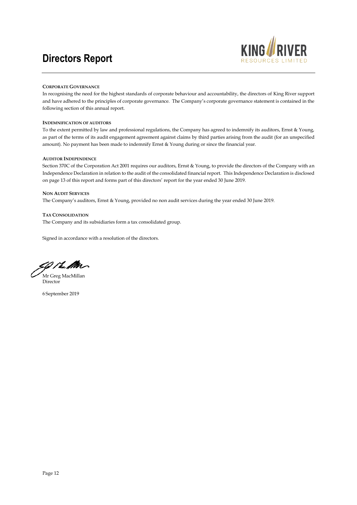

# **CORPORATE GOVERNANCE**

In recognising the need for the highest standards of corporate behaviour and accountability, the directors of King River support and have adhered to the principles of corporate governance. The Company's corporate governance statement is contained in the following section of this annual report.

### **INDEMNIFICATION OF AUDITORS**

To the extent permitted by law and professional regulations, the Company has agreed to indemnify its auditors, Ernst & Young, as part of the terms of its audit engagement agreement against claims by third parties arising from the audit (for an unspecified amount). No payment has been made to indemnify Ernst & Young during or since the financial year.

### **AUDITOR INDEPENDENCE**

Section 370C of the Corporation Act 2001 requires our auditors, Ernst & Young, to provide the directors of the Company with an Independence Declaration in relation to the audit of the consolidated financial report. This Independence Declaration is disclosed on page 13 of this report and forms part of this directors' report for the year ended 30 June 2019.

#### **NON AUDIT SERVICES**

The Company's auditors, Ernst & Young, provided no non audit services during the year ended 30 June 2019.

# **TAX CONSOLIDATION**

The Company and its subsidiaries form a tax consolidated group.

Signed in accordance with a resolution of the directors.

O Phu Mh

Mr Greg MacMillan **Director** 

6 September 2019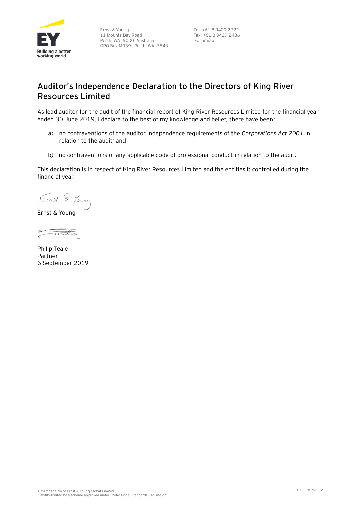

Ernst & Young 11 Mounts Bay Road Perth WA 6000 Australia GPO Box M939 Perth WA 6843

Tel: +61 8 9429 2222 Fax: +61 8 9429 2436 ey.com/au

# **Auditor's Independence Declaration to the Directors of King River Resources Limited**

As lead auditor for the audit of the financial report of King River Resources Limited for the financial year ended 30 June 2019, I declare to the best of my knowledge and belief, there have been:

- a) no contraventions of the auditor independence requirements of the *Corporations Act 2001* in relation to the audit*;* and
- b) no contraventions of any applicable code of professional conduct in relation to the audit.

This declaration is in respect of King River Resources Limited and the entities it controlled during the financial year.

Ernst 8 Yang

Ernst & Young

tecto

Philip Teale Partner 6 September 2019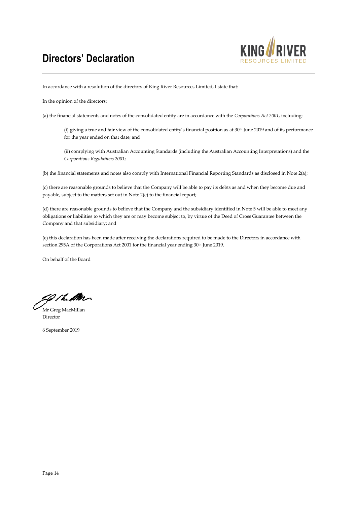# **Directors' Declaration**



In accordance with a resolution of the directors of King River Resources Limited, I state that:

In the opinion of the directors:

(a) the financial statements and notes of the consolidated entity are in accordance with the *Corporations Act 2001*, including:

(i) giving a true and fair view of the consolidated entity's financial position as at 30th June 2019 and of its performance for the year ended on that date; and

(ii) complying with Australian Accounting Standards (including the Australian Accounting Interpretations) and the *Corporations Regulations 2001*;

(b) the financial statements and notes also comply with International Financial Reporting Standards as disclosed in Note 2(a);

(c) there are reasonable grounds to believe that the Company will be able to pay its debts as and when they become due and payable, subject to the matters set out in Note 2(e) to the financial report;

(d) there are reasonable grounds to believe that the Company and the subsidiary identified in Note 5 will be able to meet any obligations or liabilities to which they are or may become subject to, by virtue of the Deed of Cross Guarantee between the Company and that subsidiary; and

(e) this declaration has been made after receiving the declarations required to be made to the Directors in accordance with section 295A of the Corporations Act 2001 for the financial year ending 30<sup>th</sup> June 2019.

On behalf of the Board

The Ma

Mr Greg MacMillan Director

6 September 2019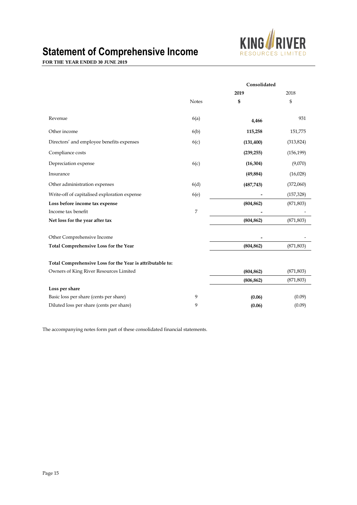# **Statement of Comprehensive Income**

**FOR THE YEAR ENDED 30 JUNE 2019**

|                                                           |                | Consolidated |            |  |
|-----------------------------------------------------------|----------------|--------------|------------|--|
|                                                           |                | 2019         | 2018       |  |
|                                                           | <b>Notes</b>   | \$           | \$         |  |
| Revenue                                                   | 6(a)           | 4,466        | 931        |  |
| Other income                                              | 6(b)           | 115,258      | 151,775    |  |
| Directors' and employee benefits expenses                 | 6(c)           | (131, 400)   | (313, 824) |  |
| Compliance costs                                          |                | (239, 255)   | (156, 199) |  |
| Depreciation expense                                      | 6(c)           | (16, 304)    | (9,070)    |  |
| Insurance                                                 |                | (49, 884)    | (16,028)   |  |
| Other administration expenses                             | 6(d)           | (487, 743)   | (372,060)  |  |
| Write-off of capitalised exploration expense              | 6(e)           |              | (157, 328) |  |
| Loss before income tax expense                            |                | (804, 862)   | (871, 803) |  |
| Income tax benefit                                        | $\overline{7}$ |              |            |  |
| Net loss for the year after tax                           |                | (804, 862)   | (871, 803) |  |
| Other Comprehensive Income                                |                |              |            |  |
| <b>Total Comprehensive Loss for the Year</b>              |                | (804, 862)   | (871, 803) |  |
| Total Comprehensive Loss for the Year is attributable to: |                |              |            |  |
| Owners of King River Resources Limited                    |                | (804, 862)   | (871, 803) |  |
|                                                           |                | (806, 862)   | (871, 803) |  |
| Loss per share                                            |                |              |            |  |
| Basic loss per share (cents per share)                    | 9              | (0.06)       | (0.09)     |  |
| Diluted loss per share (cents per share)                  | 9              | (0.06)       | (0.09)     |  |

**KING** 

RESOURCES LIMITED

**VER**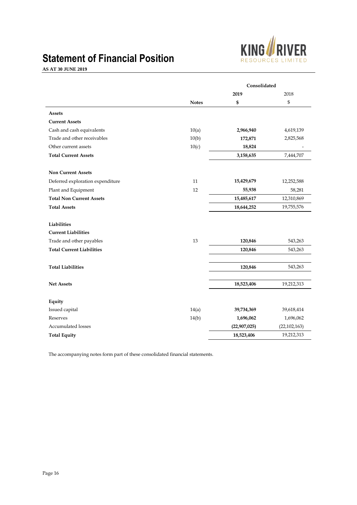# **Statement of Financial Position**



**AS AT 30 JUNE 2019**

|                                  |              | Consolidated   |                |
|----------------------------------|--------------|----------------|----------------|
|                                  |              | 2019           | 2018           |
|                                  | <b>Notes</b> | \$             | $\mathbb{S}$   |
| <b>Assets</b>                    |              |                |                |
| <b>Current Assets</b>            |              |                |                |
| Cash and cash equivalents        | 10(a)        | 2,966,940      | 4,619,139      |
| Trade and other receivables      | 10(b)        | 172,871        | 2,825,568      |
| Other current assets             | 10(c)        | 18,824         |                |
| <b>Total Current Assets</b>      |              | 3,158,635      | 7,444,707      |
| <b>Non Current Assets</b>        |              |                |                |
| Deferred exploration expenditure | 11           | 15,429,679     | 12,252,588     |
| Plant and Equipment              | 12           | 55,938         | 58,281         |
| <b>Total Non Current Assets</b>  |              | 15,485,617     | 12,310,869     |
| <b>Total Assets</b>              |              | 18,644,252     | 19,755,576     |
| Liabilities                      |              |                |                |
| <b>Current Liabilities</b>       |              |                |                |
| Trade and other payables         | 13           | 120,846        | 543,263        |
| <b>Total Current Liabilities</b> |              | 120,846        | 543,263        |
| <b>Total Liabilities</b>         |              | 120,846        | 543,263        |
| <b>Net Assets</b>                |              |                |                |
|                                  |              | 18,523,406     | 19,212,313     |
| Equity                           |              |                |                |
| Issued capital                   | 14(a)        | 39,734,369     | 39,618,414     |
| Reserves                         | 14(b)        | 1,696,062      | 1,696,062      |
| Accumulated losses               |              | (22, 907, 025) | (22, 102, 163) |
| <b>Total Equity</b>              |              | 18,523,406     | 19,212,313     |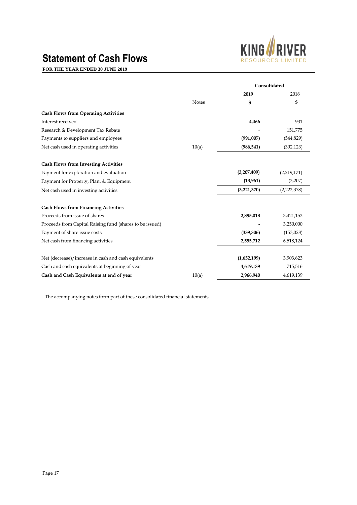# **Statement of Cash Flows**



**FOR THE YEAR ENDED 30 JUNE 2019**

|                                                          |              | Consolidated |             |
|----------------------------------------------------------|--------------|--------------|-------------|
|                                                          |              | 2019         | 2018        |
|                                                          | <b>Notes</b> | \$           | \$          |
| <b>Cash Flows from Operating Activities</b>              |              |              |             |
| Interest received                                        |              | 4,466        | 931         |
| Research & Development Tax Rebate                        |              |              | 151,775     |
| Payments to suppliers and employees                      |              | (991,007)    | (544, 829)  |
| Net cash used in operating activities                    | 10(a)        | (986, 541)   | (392, 123)  |
|                                                          |              |              |             |
| <b>Cash Flows from Investing Activities</b>              |              |              |             |
| Payment for exploration and evaluation                   |              | (3,207,409)  | (2,219,171) |
| Payment for Property, Plant & Equipment                  |              | (13,961)     | (3,207)     |
| Net cash used in investing activities                    |              | (3,221,370)  | (2,222,378) |
|                                                          |              |              |             |
| <b>Cash Flows from Financing Activities</b>              |              |              |             |
| Proceeds from issue of shares                            |              | 2,895,018    | 3,421,152   |
| Proceeds from Capital Raising fund (shares to be issued) |              |              | 3,250,000   |
| Payment of share issue costs                             |              | (339, 306)   | (153, 028)  |
| Net cash from financing activities                       |              | 2,555,712    | 6,518,124   |
|                                                          |              |              |             |
| Net (decrease)/increase in cash and cash equivalents     |              | (1,652,199)  | 3,903,623   |
| Cash and cash equivalents at beginning of year           |              | 4,619,139    | 715,516     |
| Cash and Cash Equivalents at end of year                 | 10(a)        | 2,966,940    | 4,619,139   |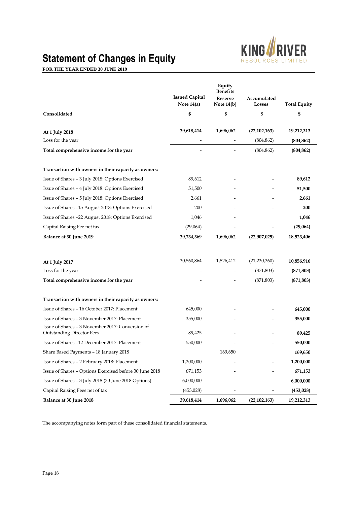# **Statement of Changes in Equity**



**FOR THE YEAR ENDED 30 JUNE 2019**

|                                                                                      | <b>Issued Capital</b> | Equity<br><b>Benefits</b><br><b>Reserve</b> | Accumulated    |                     |
|--------------------------------------------------------------------------------------|-----------------------|---------------------------------------------|----------------|---------------------|
|                                                                                      | Note $14(a)$          | Note $14(b)$                                | <b>Losses</b>  | <b>Total Equity</b> |
| Consolidated                                                                         | \$                    | \$                                          | \$             | \$                  |
|                                                                                      |                       |                                             |                |                     |
| At 1 July 2018                                                                       | 39,618,414            | 1,696,062                                   | (22, 102, 163) | 19,212,313          |
| Loss for the year                                                                    |                       |                                             | (804, 862)     | (804, 862)          |
| Total comprehensive income for the year                                              |                       |                                             | (804, 862)     | (804, 862)          |
| Transaction with owners in their capacity as owners:                                 |                       |                                             |                |                     |
| Issue of Shares - 3 July 2018: Options Exercised                                     | 89,612                |                                             |                | 89,612              |
|                                                                                      |                       |                                             |                |                     |
| Issue of Shares - 4 July 2018: Options Exercised                                     | 51,500                |                                             |                | 51,500              |
| Issue of Shares - 5 July 2018: Options Exercised                                     | 2,661                 |                                             |                | 2,661               |
| Issue of Shares -15 August 2018: Options Exercised                                   | 200                   |                                             |                | 200                 |
| Issue of Shares -22 August 2018: Options Exercised                                   | 1,046                 |                                             |                | 1,046               |
| Capital Raising Fee net tax                                                          | (29,064)              |                                             |                | (29,064)            |
| Balance at 30 June 2019                                                              | 39,734,369            | 1,696,062                                   | (22, 907, 025) | 18,523,406          |
|                                                                                      |                       |                                             |                |                     |
| At 1 July 2017                                                                       | 30,560,864            | 1,526,412                                   | (21,230,360)   | 10,856,916          |
| Loss for the year                                                                    |                       |                                             | (871, 803)     | (871, 803)          |
| Total comprehensive income for the year                                              |                       |                                             | (871, 803)     | (871, 803)          |
|                                                                                      |                       |                                             |                |                     |
| Transaction with owners in their capacity as owners:                                 |                       |                                             |                |                     |
| Issue of Shares - 16 October 2017: Placement                                         | 645,000               |                                             |                | 645,000             |
| Issue of Shares – 3 November 2017: Placement                                         | 355,000               |                                             |                | 355,000             |
| Issue of Shares - 3 November 2017: Conversion of<br><b>Outstanding Director Fees</b> | 89,425                |                                             |                | 89,425              |
| Issue of Shares -12 December 2017: Placement                                         | 550,000               |                                             |                | 550,000             |
| Share Based Payments - 18 January 2018                                               |                       | 169,650                                     |                | 169,650             |
| Issue of Shares - 2 February 2018: Placement                                         | 1,200,000             |                                             |                | 1,200,000           |
| Issue of Shares - Options Exercised before 30 June 2018                              | 671,153               |                                             |                | 671,153             |
| Issue of Shares - 3 July 2018 (30 June 2018 Options)                                 | 6,000,000             |                                             |                | 6,000,000           |
| Capital Raising Fees net of tax                                                      | (453, 028)            |                                             |                | (453, 028)          |
| Balance at 30 June 2018                                                              | 39,618,414            | 1,696,062                                   | (22, 102, 163) | 19,212,313          |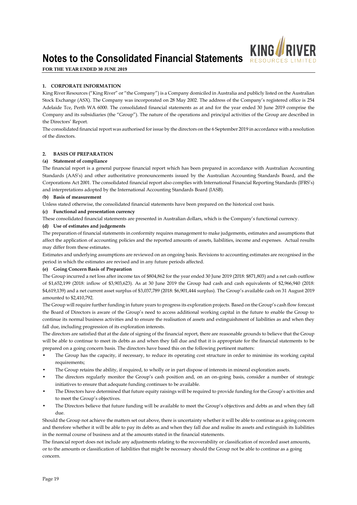

**FOR THE YEAR ENDED 30 JUNE 2019**

# **1. CORPORATE INFORMATION**

King River Resources ("King River" or "the Company") is a Company domiciled in Australia and publicly listed on the Australian Stock Exchange (ASX). The Company was incorporated on 28 May 2002. The address of the Company's registered office is 254 Adelaide Tce, Perth WA 6000. The consolidated financial statements as at and for the year ended 30 June 2019 comprise the Company and its subsidiaries (the "Group"). The nature of the operations and principal activities of the Group are described in the Directors' Report.

The consolidated financial report was authorised for issue by the directors on the 6 September 2019 in accordance with a resolution of the directors.

# **2. BASIS OF PREPARATION**

#### *(***a) Statement of compliance**

The financial report is a general purpose financial report which has been prepared in accordance with Australian Accounting Standards (AAS's) and other authoritative pronouncements issued by the Australian Accounting Standards Board, and the Corporations Act 2001. The consolidated financial report also complies with International Financial Reporting Standards (IFRS's) and interpretations adopted by the International Accounting Standards Board (IASB).

#### *(***b) Basis of measurement**

Unless stated otherwise, the consolidated financial statements have been prepared on the historical cost basis.

#### **(c) Functional and presentation currency**

These consolidated financial statements are presented in Australian dollars, which is the Company's functional currency.

# **(d) Use of estimates and judgements**

The preparation of financial statements in conformity requires management to make judgements, estimates and assumptions that affect the application of accounting policies and the reported amounts of assets, liabilities, income and expenses. Actual results may differ from these estimates.

Estimates and underlying assumptions are reviewed on an ongoing basis. Revisions to accounting estimates are recognised in the period in which the estimates are revised and in any future periods affected.

#### **(e) Going Concern Basis of Preparation**

The Group incurred a net loss after income tax of \$804,862 for the year ended 30 June 2019 (2018: \$871,803) and a net cash outflow of \$1,652,199 (2018: inflow of \$3,903,623). As at 30 June 2019 the Group had cash and cash equivalents of \$2,966,940 (2018: \$4,619,139) and a net current asset surplus of \$3,037,789 (2018: \$6,901,444 surplus). The Group's available cash on 31 August 2019 amounted to \$2,410,792.

The Group will require further funding in future years to progress its exploration projects. Based on the Group's cash flow forecast the Board of Directors is aware of the Group's need to access additional working capital in the future to enable the Group to continue its normal business activities and to ensure the realisation of assets and extinguishment of liabilities as and when they fall due, including progression of its exploration interests.

The directors are satisfied that at the date of signing of the financial report, there are reasonable grounds to believe that the Group will be able to continue to meet its debts as and when they fall due and that it is appropriate for the financial statements to be prepared on a going concern basis. The directors have based this on the following pertinent matters:

- The Group has the capacity, if necessary, to reduce its operating cost structure in order to minimise its working capital requirements;
- The Group retains the ability, if required, to wholly or in part dispose of interests in mineral exploration assets.
- The directors regularly monitor the Group's cash position and, on an on-going basis, consider a number of strategic initiatives to ensure that adequate funding continues to be available.
- The Directors have determined that future equity raisings will be required to provide funding for the Group's activities and to meet the Group's objectives.
- The Directors believe that future funding will be available to meet the Group's objectives and debts as and when they fall due.

Should the Group not achieve the matters set out above, there is uncertainty whether it will be able to continue as a going concern and therefore whether it will be able to pay its debts as and when they fall due and realise its assets and extinguish its liabilities in the normal course of business and at the amounts stated in the financial statements.

The financial report does not include any adjustments relating to the recoverability or classification of recorded asset amounts, or to the amounts or classification of liabilities that might be necessary should the Group not be able to continue as a going concern.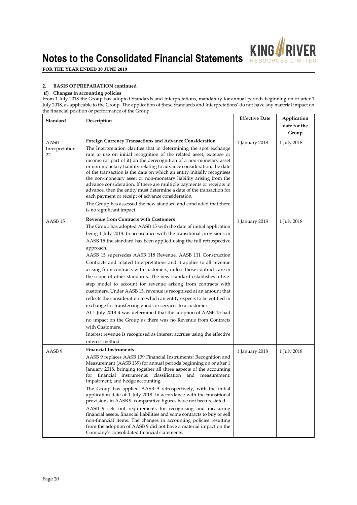

**FOR THE YEAR ENDED 30 JUNE 2019**

# **2. BASIS OF PREPARATION continued**

## **(f) Changes in accounting policies**

From 1 July 2018 the Group has adopted Standards and Interpretations, mandatory for annual periods beginning on or after 1 July 2018, as applicable to the Group. The application of these Standards and Interpretations' do not have any material impact on the financial position or performance of the Group.

| Standard             | Description                                                                                                                                                                                                                                                                                                                                                                                                                                                                                                                                                                                                                                                                                                                                                                                                                                                                                                                                                                                                                                            |                | Application<br>date for the |  |
|----------------------|--------------------------------------------------------------------------------------------------------------------------------------------------------------------------------------------------------------------------------------------------------------------------------------------------------------------------------------------------------------------------------------------------------------------------------------------------------------------------------------------------------------------------------------------------------------------------------------------------------------------------------------------------------------------------------------------------------------------------------------------------------------------------------------------------------------------------------------------------------------------------------------------------------------------------------------------------------------------------------------------------------------------------------------------------------|----------------|-----------------------------|--|
|                      |                                                                                                                                                                                                                                                                                                                                                                                                                                                                                                                                                                                                                                                                                                                                                                                                                                                                                                                                                                                                                                                        |                | Group                       |  |
| AASB                 | Foreign Currency Transactions and Advance Consideration                                                                                                                                                                                                                                                                                                                                                                                                                                                                                                                                                                                                                                                                                                                                                                                                                                                                                                                                                                                                | 1 January 2018 | 1 July 2018                 |  |
| Interpretation<br>22 | The Interpretation clarifies that in determining the spot exchange<br>rate to use on initial recognition of the related asset, expense or<br>income (or part of it) on the derecognition of a non-monetary asset<br>or non-monetary liability relating to advance consideration, the date<br>of the transaction is the date on which an entity initially recognises<br>the non-monetary asset or non-monetary liability arising from the<br>advance consideration. If there are multiple payments or receipts in<br>advance, then the entity must determine a date of the transaction for<br>each payment or receipt of advance consideration.<br>The Group has assessed the new standard and concluded that there<br>is no significant impact.                                                                                                                                                                                                                                                                                                        |                |                             |  |
| AASB <sub>15</sub>   | <b>Revenue from Contracts with Customers</b>                                                                                                                                                                                                                                                                                                                                                                                                                                                                                                                                                                                                                                                                                                                                                                                                                                                                                                                                                                                                           | 1 January 2018 | 1 July 2018                 |  |
|                      | The Group has adopted AASB 15 with the date of initial application<br>being 1 July 2018. In accordance with the transitional provisions in<br>AASB 15 the standard has been applied using the full retrospective<br>approach.<br>AASB 15 supersedes AASB 118 Revenue, AASB 111 Construction<br>Contracts and related Interpretations and it applies to all revenue<br>arising from contracts with customers, unless those contracts are in<br>the scope of other standards. The new standard establishes a five-<br>step model to account for revenue arising from contracts with<br>customers. Under AASB 15, revenue is recognised at an amount that<br>reflects the consideration to which an entity expects to be entitled in<br>exchange for transferring goods or services to a customer.<br>At 1 July 2018 it was determined that the adoption of AASB 15 had<br>no impact on the Group as there was no Revenue from Contracts<br>with Customers.<br>Interest revenue is recognised as interest accrues using the effective<br>interest method. |                |                             |  |
| AASB <sub>9</sub>    | <b>Financial Instruments</b>                                                                                                                                                                                                                                                                                                                                                                                                                                                                                                                                                                                                                                                                                                                                                                                                                                                                                                                                                                                                                           | 1 January 2018 | 1 July 2018                 |  |
|                      | AASB 9 replaces AASB 139 Financial Instruments: Recognition and<br>Measurement (AASB 139) for annual periods beginning on or after 1<br>January 2018, bringing together all three aspects of the accounting<br>financial instruments: classification and measurement;<br>for<br>impairment; and hedge accounting.<br>The Group has applied AASB 9 retrospectively, with the initial<br>application date of 1 July 2018. In accordance with the transitional<br>provisions in AASB 9, comparative figures have not been restated.<br>AASB 9 sets out requirements for recognising and measuring<br>financial assets, financial liabilities and some contracts to buy or sell<br>non-financial items. The changes in accounting policies resulting<br>from the adoption of AASB 9 did not have a material impact on the<br>Company's consolidated financial statements.                                                                                                                                                                                  |                |                             |  |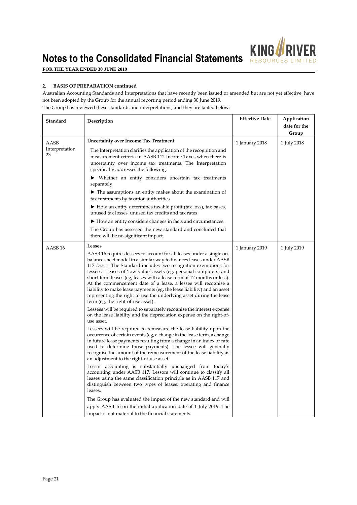

**FOR THE YEAR ENDED 30 JUNE 2019**

# **2. BASIS OF PREPARATION continued**

Australian Accounting Standards and Interpretations that have recently been issued or amended but are not yet effective, have not been adopted by the Group for the annual reporting period ending 30 June 2019.

The Group has reviewed these standards and interpretations, and they are tabled below:

| Standard             | Description                                                                                                                                                                                                                                                                                                                                                                                                                                                                                                                                                                                                                                                                                                                                                                                                                                                                                                                                         | <b>Effective Date</b> | Application<br>date for the<br>Group |
|----------------------|-----------------------------------------------------------------------------------------------------------------------------------------------------------------------------------------------------------------------------------------------------------------------------------------------------------------------------------------------------------------------------------------------------------------------------------------------------------------------------------------------------------------------------------------------------------------------------------------------------------------------------------------------------------------------------------------------------------------------------------------------------------------------------------------------------------------------------------------------------------------------------------------------------------------------------------------------------|-----------------------|--------------------------------------|
| AASB                 | <b>Uncertainty over Income Tax Treatment</b>                                                                                                                                                                                                                                                                                                                                                                                                                                                                                                                                                                                                                                                                                                                                                                                                                                                                                                        | 1 January 2018        | 1 July 2018                          |
| Interpretation<br>23 | The Interpretation clarifies the application of the recognition and<br>measurement criteria in AASB 112 Income Taxes when there is<br>uncertainty over income tax treatments. The Interpretation<br>specifically addresses the following:                                                                                                                                                                                                                                                                                                                                                                                                                                                                                                                                                                                                                                                                                                           |                       |                                      |
|                      | • Whether an entity considers uncertain tax treatments<br>separately                                                                                                                                                                                                                                                                                                                                                                                                                                                                                                                                                                                                                                                                                                                                                                                                                                                                                |                       |                                      |
|                      | $\blacktriangleright$ The assumptions an entity makes about the examination of<br>tax treatments by taxation authorities                                                                                                                                                                                                                                                                                                                                                                                                                                                                                                                                                                                                                                                                                                                                                                                                                            |                       |                                      |
|                      | $\blacktriangleright$ How an entity determines taxable profit (tax loss), tax bases,<br>unused tax losses, unused tax credits and tax rates                                                                                                                                                                                                                                                                                                                                                                                                                                                                                                                                                                                                                                                                                                                                                                                                         |                       |                                      |
|                      | $\blacktriangleright$ How an entity considers changes in facts and circumstances.                                                                                                                                                                                                                                                                                                                                                                                                                                                                                                                                                                                                                                                                                                                                                                                                                                                                   |                       |                                      |
|                      | The Group has assessed the new standard and concluded that<br>there will be no significant impact.                                                                                                                                                                                                                                                                                                                                                                                                                                                                                                                                                                                                                                                                                                                                                                                                                                                  |                       |                                      |
| AASB <sub>16</sub>   | Leases<br>AASB 16 requires lessees to account for all leases under a single on-<br>balance sheet model in a similar way to finances leases under AASB<br>117 Leases. The Standard includes two recognition exemptions for<br>lessees – leases of 'low-value' assets (eg, personal computers) and<br>short-term leases (eg, leases with a lease term of 12 months or less).<br>At the commencement date of a lease, a lessee will recognise a<br>liability to make lease payments (eg, the lease liability) and an asset<br>representing the right to use the underlying asset during the lease<br>term (eg, the right-of-use asset).<br>Lessees will be required to separately recognise the interest expense<br>on the lease liability and the depreciation expense on the right-of-<br>use asset.<br>Lessees will be required to remeasure the lease liability upon the<br>occurrence of certain events (eg, a change in the lease term, a change | 1 January 2019        | 1 July 2019                          |
|                      | in future lease payments resulting from a change in an index or rate<br>used to determine those payments). The lessee will generally<br>recognise the amount of the remeasurement of the lease liability as<br>an adjustment to the right-of-use asset.                                                                                                                                                                                                                                                                                                                                                                                                                                                                                                                                                                                                                                                                                             |                       |                                      |
|                      | Lessor accounting is substantially unchanged from today's<br>accounting under AASB 117. Lessors will continue to classify all<br>leases using the same classification principle as in AASB 117 and<br>distinguish between two types of leases: operating and finance<br>leases.                                                                                                                                                                                                                                                                                                                                                                                                                                                                                                                                                                                                                                                                     |                       |                                      |
|                      | The Group has evaluated the impact of the new standard and will<br>apply AASB 16 on the initial application date of 1 July 2019. The<br>impact is not material to the financial statements.                                                                                                                                                                                                                                                                                                                                                                                                                                                                                                                                                                                                                                                                                                                                                         |                       |                                      |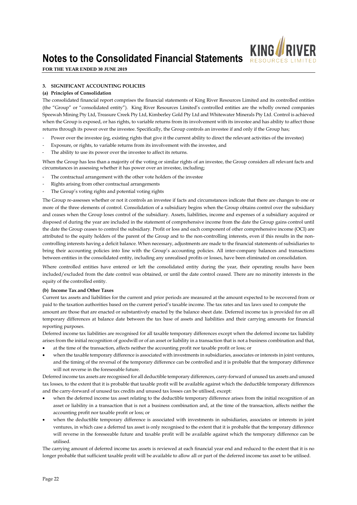

**FOR THE YEAR ENDED 30 JUNE 2019**

# **3. SIGNIFICANT ACCOUNTING POLICIES**

# **(a) Principles of Consolidation**

The consolidated financial report comprises the financial statements of King River Resources Limited and its controlled entities (the "Group" or "consolidated entity"). King River Resources Limited's controlled entities are the wholly owned companies Speewah Mining Pty Ltd, Treasure Creek Pty Ltd, Kimberley Gold Pty Ltd and Whitewater Minerals Pty Ltd. Control is achieved when the Group is exposed, or has rights, to variable returns from its involvement with its investee and has ability to affect those returns through its power over the investee. Specifically, the Group controls an investee if and only if the Group has;

- Power over the investee (eg, existing rights that give it the current ability to direct the relevant activities of the investee)
- Exposure, or rights, to variable returns from its involvement with the investee, and
- The ability to use its power over the investee to affect its returns.

When the Group has less than a majority of the voting or similar rights of an investee, the Group considers all relevant facts and circumstances in assessing whether it has power over an investee, including;

- The contractual arrangement with the other vote holders of the investee
- Rights arising from other contractual arrangements
- The Group's voting rights and potential voting rights

The Group re-assesses whether or not it controls an investee if facts and circumstances indicate that there are changes to one or more of the three elements of control. Consolidation of a subsidiary begins when the Group obtains control over the subsidiary and ceases when the Group loses control of the subsidiary. Assets, liabilities, income and expenses of a subsidiary acquired or disposed of during the year are included in the statement of comprehensive income from the date the Group gains control until the date the Group ceases to control the subsidiary. Profit or loss and each component of other comprehensive income (OCI) are attributed to the equity holders of the parent of the Group and to the non-controlling interests, even if this results in the noncontrolling interests having a deficit balance. When necessary, adjustments are made to the financial statements of subsidiaries to bring their accounting policies into line with the Group's accounting policies. All inter-company balances and transactions between entities in the consolidated entity, including any unrealised profits or losses, have been eliminated on consolidation.

Where controlled entities have entered or left the consolidated entity during the year, their operating results have been included/excluded from the date control was obtained, or until the date control ceased. There are no minority interests in the equity of the controlled entity.

# **(b) Income Tax and Other Taxes**

Current tax assets and liabilities for the current and prior periods are measured at the amount expected to be recovered from or paid to the taxation authorities based on the current period's taxable income. The tax rates and tax laws used to compute the amount are those that are enacted or substantively enacted by the balance sheet date. Deferred income tax is provided for on all temporary differences at balance date between the tax base of assets and liabilities and their carrying amounts for financial reporting purposes.

Deferred income tax liabilities are recognised for all taxable temporary differences except when the deferred income tax liability arises from the initial recognition of goodwill or of an asset or liability in a transaction that is not a business combination and that,

- at the time of the transaction, affects neither the accounting profit nor taxable profit or loss; or
- when the taxable temporary difference is associated with investments in subsidiaries, associates or interests in joint ventures, and the timing of the reversal of the temporary difference can be controlled and it is probable that the temporary difference will not reverse in the foreseeable future.

Deferred income tax assets are recognised for all deductible temporary differences, carry-forward of unused tax assets and unused tax losses, to the extent that it is probable that taxable profit will be available against which the deductible temporary differences and the carry-forward of unused tax credits and unused tax losses can be utilised, except:

- when the deferred income tax asset relating to the deductible temporary difference arises from the initial recognition of an asset or liability in a transaction that is not a business combination and, at the time of the transaction, affects neither the accounting profit nor taxable profit or loss; or
- when the deductible temporary difference is associated with investments in subsidiaries, associates or interests in joint ventures, in which case a deferred tax asset is only recognised to the extent that it is probable that the temporary difference will reverse in the foreseeable future and taxable profit will be available against which the temporary difference can be utilised.

The carrying amount of deferred income tax assets is reviewed at each financial year end and reduced to the extent that it is no longer probable that sufficient taxable profit will be available to allow all or part of the deferred income tax asset to be utilised.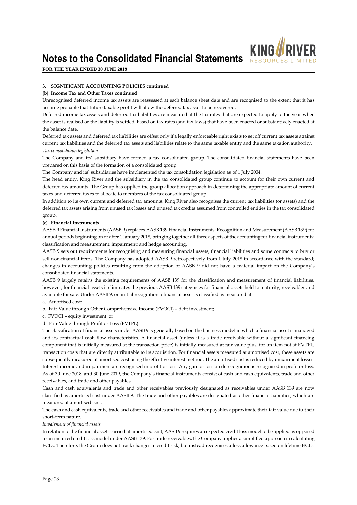

# **FOR THE YEAR ENDED 30 JUNE 2019**

# **3. SIGNIFICANT ACCOUNTING POLICIES continued**

#### **(b) Income Tax and Other Taxes continued**

Unrecognised deferred income tax assets are reassessed at each balance sheet date and are recognised to the extent that it has become probable that future taxable profit will allow the deferred tax asset to be recovered.

Deferred income tax assets and deferred tax liabilities are measured at the tax rates that are expected to apply to the year when the asset is realised or the liability is settled, based on tax rates (and tax laws) that have been enacted or substantively enacted at the balance date.

Deferred tax assets and deferred tax liabilities are offset only if a legally enforceable right exists to set off current tax assets against current tax liabilities and the deferred tax assets and liabilities relate to the same taxable entity and the same taxation authority. *Tax consolidation legislation*

The Company and its' subsidiary have formed a tax consolidated group. The consolidated financial statements have been prepared on this basis of the formation of a consolidated group.

The Company and its' subsidiaries have implemented the tax consolidation legislation as of 1 July 2004.

The head entity, King River and the subsidiary in the tax consolidated group continue to account for their own current and deferred tax amounts. The Group has applied the group allocation approach in determining the appropriate amount of current taxes and deferred taxes to allocate to members of the tax consolidated group.

In addition to its own current and deferred tax amounts, King River also recognises the current tax liabilities (or assets) and the deferred tax assets arising from unused tax losses and unused tax credits assumed from controlled entities in the tax consolidated group.

# **(c) Financial Instruments**

AASB 9 Financial Instruments (AASB 9) replaces AASB 139 Financial Instruments: Recognition and Measurement (AASB 139) for annual periods beginning on or after 1 January 2018, bringing together all three aspects of the accounting for financial instruments: classification and measurement; impairment; and hedge accounting.

AASB 9 sets out requirements for recognising and measuring financial assets, financial liabilities and some contracts to buy or sell non-financial items. The Company has adopted AASB 9 retrospectively from 1 July 2018 in accordance with the standard; changes in accounting policies resulting from the adoption of AASB 9 did not have a material impact on the Company's consolidated financial statements.

AASB 9 largely retains the existing requirements of AASB 139 for the classification and measurement of financial liabilities, however, for financial assets it eliminates the previous AASB 139 categories for financial assets held to maturity, receivables and available for sale. Under AASB 9, on initial recognition a financial asset is classified as measured at:

### a. Amortised cost;

- b. Fair Value through Other Comprehensive Income (FVOCI) debt investment;
- c. FVOCI equity investment; or
- d. Fair Value through Profit or Loss (FVTPL)

The classification of financial assets under AASB 9 is generally based on the business model in which a financial asset is managed and its contractual cash flow characteristics. A financial asset (unless it is a trade receivable without a significant financing component that is initially measured at the transaction price) is initially measured at fair value plus, for an item not at FVTPL, transaction costs that are directly attributable to its acquisition. For financial assets measured at amortised cost, these assets are subsequently measured at amortised cost using the effective interest method. The amortised cost is reduced by impairment losses. Interest income and impairment are recognised in profit or loss. Any gain or loss on derecognition is recognised in profit or loss. As of 30 June 2018, and 30 June 2019, the Company's financial instruments consist of cash and cash equivalents, trade and other receivables, and trade and other payables.

Cash and cash equivalents and trade and other receivables previously designated as receivables under AASB 139 are now classified as amortised cost under AASB 9. The trade and other payables are designated as other financial liabilities, which are measured at amortised cost.

The cash and cash equivalents, trade and other receivables and trade and other payables approximate their fair value due to their short-term nature.

#### *Impairment of financial assets*

In relation to the financial assets carried at amortised cost, AASB 9 requires an expected credit loss model to be applied as opposed to an incurred credit loss model under AASB 139. For trade receivables, the Company applies a simplified approach in calculating ECLs. Therefore, the Group does not track changes in credit risk, but instead recognises a loss allowance based on lifetime ECLs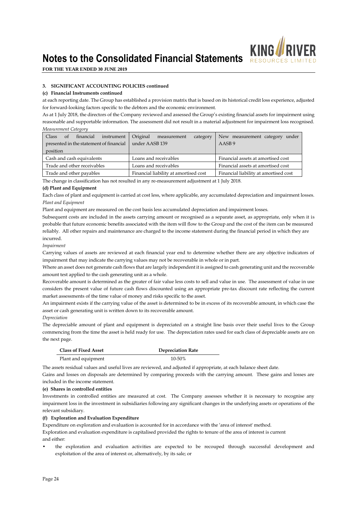

**FOR THE YEAR ENDED 30 JUNE 2019**

# **3. SIGNIFICANT ACCOUNTING POLICIES continued**

# **(c) Financial Instruments continued**

at each reporting date. The Group has established a provision matrix that is based on its historical credit loss experience, adjusted for forward-looking factors specific to the debtors and the economic environment.

As at 1 July 2018, the directors of the Company reviewed and assessed the Group's existing financial assets for impairment using reasonable and supportable information. The assessment did not result in a material adjustment for impairment loss recognised. *Measurement Category*

| Class<br>financial instrument<br><sub>of</sub> | Original measurement<br>category | New measurement category under     |  |
|------------------------------------------------|----------------------------------|------------------------------------|--|
| presented in the statement of financial        | under AASB 139                   | AASB9                              |  |
| position                                       |                                  |                                    |  |
| Cash and cash equivalents                      | Loans and receivables            | Financial assets at amortised cost |  |
|                                                |                                  |                                    |  |
| Trade and other receivables                    | Loans and receivables            | Financial assets at amortised cost |  |

The change in classification has not resulted in any re-measurement adjustment at 1 July 2018.

#### **(d) Plant and Equipment**

Each class of plant and equipment is carried at cost less, where applicable, any accumulated depreciation and impairment losses. *Plant and Equipment*

Plant and equipment are measured on the cost basis less accumulated depreciation and impairment losses.

Subsequent costs are included in the assets carrying amount or recognised as a separate asset, as appropriate, only when it is probable that future economic benefits associated with the item will flow to the Group and the cost of the item can be measured reliably. All other repairs and maintenance are charged to the income statement during the financial period in which they are incurred.

#### *Impairment*

Carrying values of assets are reviewed at each financial year end to determine whether there are any objective indicators of impairment that may indicate the carrying values may not be recoverable in whole or in part.

Where an asset does not generate cash flows that are largely independent it is assigned to cash generating unit and the recoverable amount test applied to the cash generating unit as a whole.

Recoverable amount is determined as the greater of fair value less costs to sell and value in use. The assessment of value in use considers the present value of future cash flows discounted using an appropriate pre-tax discount rate reflecting the current market assessments of the time value of money and risks specific to the asset.

An impairment exists if the carrying value of the asset is determined to be in excess of its recoverable amount, in which case the asset or cash generating unit is written down to its recoverable amount.

#### *Depreciation*

The depreciable amount of plant and equipment is depreciated on a straight line basis over their useful lives to the Group commencing from the time the asset is held ready for use. The depreciation rates used for each class of depreciable assets are on the next page.

| <b>Class of Fixed Asset</b> | <b>Depreciation Rate</b> |
|-----------------------------|--------------------------|
| Plant and equipment         | 10-50%                   |

The assets residual values and useful lives are reviewed, and adjusted if appropriate, at each balance sheet date.

Gains and losses on disposals are determined by comparing proceeds with the carrying amount. These gains and losses are included in the income statement.

#### **(e) Shares in controlled entities**

Investments in controlled entities are measured at cost. The Company assesses whether it is necessary to recognise any impairment loss in the investment in subsidiaries following any significant changes in the underlying assets or operations of the relevant subsidiary.

#### **(f) Exploration and Evaluation Expenditure**

Expenditure on exploration and evaluation is accounted for in accordance with the 'area of interest' method. Exploration and evaluation expenditure is capitalised provided the rights to tenure of the area of interest is current and either:

• the exploration and evaluation activities are expected to be recouped through successful development and exploitation of the area of interest or, alternatively, by its sale; or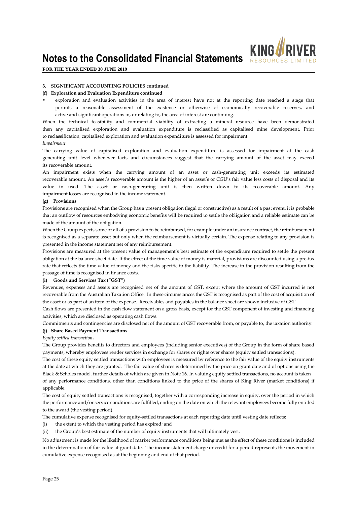

# **FOR THE YEAR ENDED 30 JUNE 2019**

# **3. SIGNIFICANT ACCOUNTING POLICIES continued**

#### **(f) Exploration and Evaluation Expenditure continued**

• exploration and evaluation activities in the area of interest have not at the reporting date reached a stage that permits a reasonable assessment of the existence or otherwise of economically recoverable reserves, and active and significant operations in, or relating to, the area of interest are continuing.

When the technical feasibility and commercial viability of extracting a mineral resource have been demonstrated then any capitalised exploration and evaluation expenditure is reclassified as capitalised mine development. Prior to reclassification, capitalised exploration and evaluation expenditure is assessed for impairment.

#### *Impairment*

The carrying value of capitalised exploration and evaluation expenditure is assessed for impairment at the cash generating unit level whenever facts and circumstances suggest that the carrying amount of the asset may exceed its recoverable amount.

An impairment exists when the carrying amount of an asset or cash-generating unit exceeds its estimated recoverable amount. An asset's recoverable amount is the higher of an asset's or CGU's fair value less costs of disposal and its value in used. The asset or cash-generating unit is then written down to its recoverable amount. Any impairment losses are recognised in the income statement.

#### **(g) Provisions**

Provisions are recognised when the Group has a present obligation (legal or constructive) as a result of a past event, it is probable that an outflow of resources embodying economic benefits will be required to settle the obligation and a reliable estimate can be made of the amount of the obligation.

When the Group expects some or all of a provision to be reimbursed, for example under an insurance contract, the reimbursement is recognised as a separate asset but only when the reimbursement is virtually certain. The expense relating to any provision is presented in the income statement net of any reimbursement.

Provisions are measured at the present value of management's best estimate of the expenditure required to settle the present obligation at the balance sheet date. If the effect of the time value of money is material, provisions are discounted using a pre-tax rate that reflects the time value of money and the risks specific to the liability. The increase in the provision resulting from the passage of time is recognised in finance costs.

#### **(i) Goods and Services Tax ("GST")**

Revenues, expenses and assets are recognised net of the amount of GST, except where the amount of GST incurred is not recoverable from the Australian Taxation Office. In these circumstances the GST is recognised as part of the cost of acquisition of the asset or as part of an item of the expense. Receivables and payables in the balance sheet are shown inclusive of GST.

Cash flows are presented in the cash flow statement on a gross basis, except for the GST component of investing and financing activities, which are disclosed as operating cash flows.

Commitments and contingencies are disclosed net of the amount of GST recoverable from, or payable to, the taxation authority.

### **(j) Share Based Payment Transactions**

### *Equity settled transactions*

The Group provides benefits to directors and employees (including senior executives) of the Group in the form of share based payments, whereby employees render services in exchange for shares or rights over shares (equity settled transactions).

The cost of these equity settled transactions with employees is measured by reference to the fair value of the equity instruments at the date at which they are granted. The fair value of shares is determined by the price on grant date and of options using the Black & Scholes model, further details of which are given in Note 16. In valuing equity settled transactions, no account is taken

of any performance conditions, other than conditions linked to the price of the shares of King River (market conditions) if applicable.

The cost of equity settled transactions is recognised, together with a corresponding increase in equity, over the period in which the performance and/or service conditions are fulfilled, ending on the date on which the relevant employees become fully entitled to the award (the vesting period).

The cumulative expense recognised for equity-settled transactions at each reporting date until vesting date reflects:

- (i) the extent to which the vesting period has expired; and
- (ii) the Group's best estimate of the number of equity instruments that will ultimately vest.

No adjustment is made for the likelihood of market performance conditions being met as the effect of these conditions is included in the determination of fair value at grant date. The income statement charge or credit for a period represents the movement in cumulative expense recognised as at the beginning and end of that period.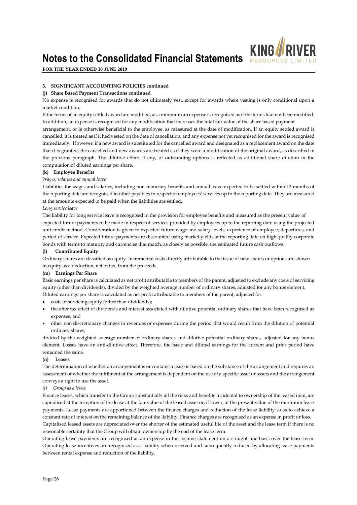

# **FOR THE YEAR ENDED 30 JUNE 2019**

# **3. SIGNIFICANT ACCOUNTING POLICIES continued**

### **(j) Share Based Payment Transactions continued**

No expense is recognised for awards that do not ultimately vest, except for awards where vesting is only conditional upon a market condition.

If the terms of an equity settled award are modified, as a minimum an expense is recognised as if the terms had not been modified. In addition, an expense is recognised for any modification that increases the total fair value of the share based payment

arrangement, or is otherwise beneficial to the employee, as measured at the date of modification. If an equity settled award is cancelled, it is treated as if it had vested on the date of cancellation, and any expense not yet recognised for the award is recognised immediately. However, if a new award is substituted for the cancelled award and designated as a replacement award on the date that it is granted, the cancelled and new awards are treated as if they were a modification of the original award, as described in the previous paragraph. The dilutive effect, if any, of outstanding options is reflected as additional share dilution in the computation of diluted earnings per share.

#### **(k) Employee Benefits**

#### *Wages, salaries and annual leave*

Liabilities for wages and salaries, including non-monetary benefits and annual leave expected to be settled within 12 months of the reporting date are recognised in other payables in respect of employees' services up to the reporting date. They are measured at the amounts expected to be paid when the liabilities are settled.

#### *Long service leave*

The liability for long service leave is recognised in the provision for employee benefits and measured as the present value of expected future payments to be made in respect of services provided by employees up to the reporting date using the projected unit credit method. Consideration is given to expected future wage and salary levels, experience of employee, departures, and period of service. Expected future payments are discounted using market yields at the reporting date on high quality corporate bonds with terms to maturity and currencies that match, as closely as possible, the estimated future cash outflows.

#### **(l) Contributed Equity**

Ordinary shares are classified as equity. Incremental costs directly attributable to the issue of new shares or options are shown in equity as a deduction, net of tax, from the proceeds.

### **(m) Earnings Per Share**

Basic earnings per share is calculated as net profit attributable to members of the parent, adjusted to exclude any costs of servicing equity (other than dividends), divided by the weighted average number of ordinary shares, adjusted for any bonus element. Diluted earnings per share is calculated as net profit attributable to members of the parent, adjusted for:

- costs of servicing equity (other than dividends);
- the after tax effect of dividends and interest associated with dilutive potential ordinary shares that have been recognised as expenses; and
- other non discretionary changes in revenues or expenses during the period that would result from the dilution of potential ordinary shares;

divided by the weighted average number of ordinary shares and dilutive potential ordinary shares, adjusted for any bonus element. Losses have an anti-dilutive effect. Therefore, the basic and diluted earnings for the current and prior period have remained the same.

### **(n) Leases**

The determination of whether an arrangement is or contains a lease is based on the substance of the arrangement and requires an assessment of whether the fulfilment of the arrangement is dependent on the use of a specific asset or assets and the arrangement conveys a right to use the asset.

# *(i) Group as a lessee*

Finance leases, which transfer to the Group substantially all the risks and benefits incidental to ownership of the leased item, are capitalised at the inception of the lease at the fair value of the leased asset or, if lower, at the present value of the minimum lease payments. Lease payments are apportioned between the finance charges and reduction of the lease liability so as to achieve a constant rate of interest on the remaining balance of the liability. Finance charges are recognised as an expense in profit or loss.

Capitalised leased assets are depreciated over the shorter of the estimated useful life of the asset and the lease term if there is no reasonable certainty that the Group will obtain ownership by the end of the lease term.

Operating lease payments are recognised as an expense in the income statement on a straight-line basis over the lease term. Operating lease incentives are recognised as a liability when received and subsequently reduced by allocating lease payments between rental expense and reduction of the liability.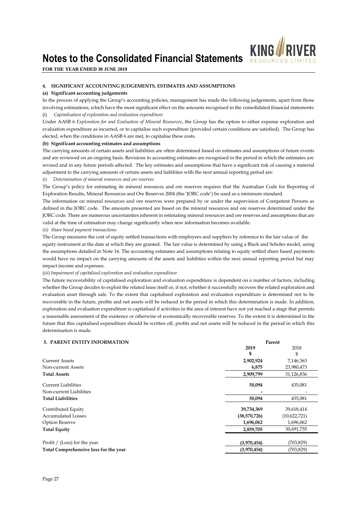

# **FOR THE YEAR ENDED 30 JUNE 2019**

### **4. SIGNIFICANT ACCOUNTING JUDGEMENTS, ESTIMATES AND ASSUMPTIONS**

#### **(a) Significant accounting judgements**

In the process of applying the Group's accounting policies, management has made the following judgements, apart from those involving estimations, which have the most significant effect on the amounts recognised in the consolidated financial statements: (i) *Capitalisation of exploration and evaluation expenditure*

Under AASB 6 *Exploration for and Evaluation of Mineral Resources*, the Group has the option to either expense exploration and evaluation expenditure as incurred, or to capitalise such expenditure (provided certain conditions are satisfied). The Group has elected, when the conditions in AASB 6 are met, to capitalise these costs.

#### **(b) Significant accounting estimates and assumptions**

The carrying amounts of certain assets and liabilities are often determined based on estimates and assumptions of future events and are reviewed on an ongoing basis. Revisions to accounting estimates are recognised in the period in which the estimates are revised and in any future periods affected. The key estimates and assumptions that have a significant risk of causing a material adjustment to the carrying amounts of certain assets and liabilities with the next annual reporting period are:

#### *(i) Determination of mineral resources and ore reserves*

The Group's policy for estimating its mineral resources and ore reserves requires that the Australian Code for Reporting of Exploration Results, Mineral Resources and Ore Reserves 2004 (the 'JORC code') be used as a minimum standard.

The information on mineral resources and ore reserves were prepared by or under the supervision of Competent Persons as defined in the JORC code. The amounts presented are based on the mineral resources and ore reserves determined under the JORC code. There are numerous uncertainties inherent in estimating mineral resources and ore reserves and assumptions that are valid at the time of estimation may change significantly when new information becomes available.

*(ii) Share based payment transactions*

The Group measures the cost of equity settled transactions with employees and suppliers by reference to the fair value of the equity instrument at the date at which they are granted. The fair value is determined by using a Black and Scholes model, using the assumptions detailed in Note 16. The accounting estimates and assumptions relating to equity settled share based payments would have no impact on the carrying amounts of the assets and liabilities within the next annual reporting period but may impact income and expenses.

## (*iii*) *Impairment of capitalised exploration and evaluation expenditure*

The future recoverability of capitalised exploration and evaluation expenditure is dependent on a number of factors, including whether the Group decides to exploit the related lease itself or, if not, whether it successfully recovers the related exploration and evaluation asset through sale. To the extent that capitalised exploration and evaluation expenditure is determined not to be recoverable in the future, profits and net assets will be reduced in the period in which this determination is made. In addition, exploration and evaluation expenditure is capitalised if activities in the area of interest have not yet reached a stage that permits a reasonable assessment of the existence or otherwise of economically recoverable reserves. To the extent it is determined in the future that this capitalised expenditure should be written off, profits and net assets will be reduced in the period in which this determination is made.

**2019**

2018

#### **5. PARENT ENTITY INFORMATION Parent**

|                                       | -            | 2010         |
|---------------------------------------|--------------|--------------|
|                                       | \$           | \$           |
| <b>Current Assets</b>                 | 2,902,924    | 7,146,363    |
| Non-current Assets                    | 6,875        | 23,980,473   |
| <b>Total Assets</b>                   | 2,909,799    | 31,126,836   |
| <b>Current Liabilities</b>            | 50,094       | 435,081      |
| Non-current Liabilities               |              |              |
| <b>Total Liabilities</b>              | 50,094       | 435,081      |
| Contributed Equity                    | 39,734,369   | 39,618,414   |
| <b>Accumulated Losses</b>             | (38,570,726) | (10,622,721) |
| Option Reserve                        | 1,696,062    | 1,696,062    |
| <b>Total Equity</b>                   | 2,859,705    | 30,691,755   |
|                                       |              |              |
| Profit / (Loss) for the year          | (3,970,454)  | (703, 829)   |
| Total Comprehensive loss for the year | (3,970,454)  | (703, 829)   |
|                                       |              |              |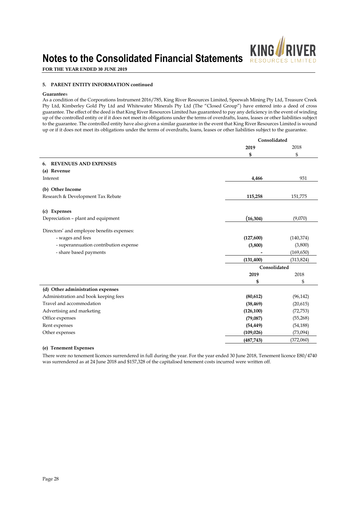

# **FOR THE YEAR ENDED 30 JUNE 2019**

# **5. PARENT ENTITY INFORMATION continued**

#### **Guarantee**s

As a condition of the Corporations Instrument 2016/785, King River Resources Limited, Speewah Mining Pty Ltd, Treasure Creek Pty Ltd, Kimberley Gold Pty Ltd and Whitewater Minerals Pty Ltd (The "Closed Group") have entered into a deed of cross guarantee. The effect of the deed is that King River Resources Limited has guaranteed to pay any deficiency in the event of winding up of the controlled entity or if it does not meet its obligations under the terms of overdrafts, loans, leases or other liabilities subject to the guarantee. The controlled entity have also given a similar guarantee in the event that King River Resources Limited is wound up or if it does not meet its obligations under the terms of overdrafts, loans, leases or other liabilities subject to the guarantee.

|                                            | Consolidated |            |
|--------------------------------------------|--------------|------------|
|                                            | 2019         | 2018       |
|                                            | \$           | \$         |
| <b>REVENUES AND EXPENSES</b><br>6.         |              |            |
| (a) Revenue                                |              |            |
| Interest                                   | 4,466        | 931        |
| (b) Other Income                           |              |            |
| Research & Development Tax Rebate          | 115,258      | 151,775    |
|                                            |              |            |
| <b>Expenses</b><br>(c)                     |              |            |
| Depreciation - plant and equipment         | (16, 304)    | (9,070)    |
| Directors' and employee benefits expenses: |              |            |
| - wages and fees                           | (127, 600)   | (140, 374) |
| - superannuation contribution expense      | (3,800)      | (3,800)    |
| - share based payments                     |              | (169, 650) |
|                                            | (131, 400)   | (313, 824) |
|                                            | Consolidated |            |
|                                            | 2019         | 2018       |
|                                            | \$           | \$         |
| (d) Other administration expenses          |              |            |
| Administration and book keeping fees       | (80, 612)    | (96, 142)  |
| Travel and accommodation                   | (38, 469)    | (20,615)   |
| Advertising and marketing                  | (126, 100)   | (72, 753)  |
| Office expenses                            | (79,087)     | (55,268)   |
| Rent expenses                              | (54, 449)    | (54, 188)  |
| Other expenses                             | (109, 026)   | (73,094)   |
|                                            | (487,743)    | (372,060)  |

### **(e) Tenement Expenses**

There were no tenement licences surrendered in full during the year. For the year ended 30 June 2018, Tenement licence E80/4740 was surrendered as at 24 June 2018 and \$157,328 of the capitalised tenement costs incurred were written off.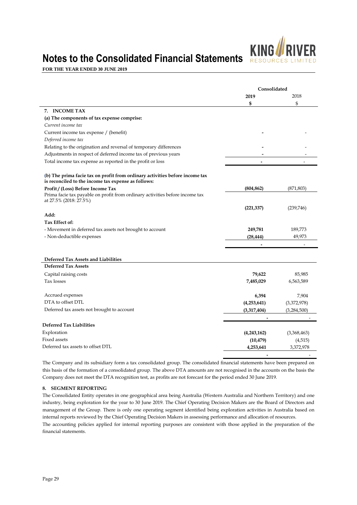

**FOR THE YEAR ENDED 30 JUNE 2019**

|                                                                                                                                     | Consolidated |             |
|-------------------------------------------------------------------------------------------------------------------------------------|--------------|-------------|
|                                                                                                                                     | 2019         | 2018        |
|                                                                                                                                     | \$           | \$          |
| 7. INCOME TAX                                                                                                                       |              |             |
| (a) The components of tax expense comprise:                                                                                         |              |             |
| Current income tax                                                                                                                  |              |             |
| Current income tax expense / (benefit)                                                                                              |              |             |
| Deferred income tax                                                                                                                 |              |             |
| Relating to the origination and reversal of temporary differences                                                                   |              |             |
| Adjustments in respect of deferred income tax of previous years                                                                     |              |             |
| Total income tax expense as reported in the profit or loss                                                                          |              |             |
| (b) The prima facie tax on profit from ordinary activities before income tax<br>is reconciled to the income tax expense as follows: |              |             |
| Profit / (Loss) Before Income Tax                                                                                                   | (804, 862)   | (871, 803)  |
| Prima facie tax payable on profit from ordinary activities before income tax<br>at 27.5% (2018: 27.5%)                              |              |             |
|                                                                                                                                     | (221, 337)   | (239,746)   |
| Add:                                                                                                                                |              |             |
| Tax Effect of:                                                                                                                      |              |             |
| - Movement in deferred tax assets not brought to account                                                                            | 249,781      | 189,773     |
| - Non-deductible expenses                                                                                                           | (28, 444)    | 49,973      |
|                                                                                                                                     |              |             |
| Deferred Tax Assets and Liabilities                                                                                                 |              |             |
| <b>Deferred Tax Assets</b>                                                                                                          |              |             |
| Capital raising costs                                                                                                               | 79,622       | 85,985      |
| Tax losses                                                                                                                          | 7,485,029    | 6,563,589   |
| Accrued expenses                                                                                                                    | 6,394        | 7,904       |
| DTA to offset DTL                                                                                                                   | (4,253,641)  | (3,372,978) |
| Deferred tax assets not brought to account                                                                                          | (3,317,404)  | (3,284,500) |
|                                                                                                                                     |              |             |
| Deferred Tax Liabilities                                                                                                            |              |             |
| Exploration                                                                                                                         | (4,243,162)  | (3,368,463) |
| Fixed assets                                                                                                                        | (10, 479)    | (4, 515)    |
| Deferred tax assets to offset DTL                                                                                                   | 4,253,641    | 3,372,978   |
|                                                                                                                                     |              |             |

The Company and its subsidiary form a tax consolidated group. The consolidated financial statements have been prepared on this basis of the formation of a consolidated group. The above DTA amounts are not recognised in the accounts on the basis the Company does not meet the DTA recognition test, as profits are not forecast for the period ended 30 June 2019.

# **8. SEGMENT REPORTING**

The Consolidated Entity operates in one geographical area being Australia (Western Australia and Northern Territory) and one industry, being exploration for the year to 30 June 2019. The Chief Operating Decision Makers are the Board of Directors and management of the Group. There is only one operating segment identified being exploration activities in Australia based on internal reports reviewed by the Chief Operating Decision Makers in assessing performance and allocation of resources.

The accounting policies applied for internal reporting purposes are consistent with those applied in the preparation of the financial statements.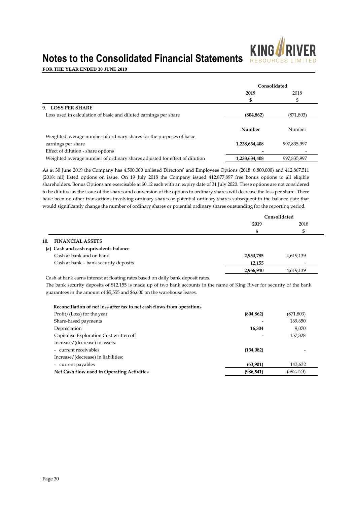

**FOR THE YEAR ENDED 30 JUNE 2019**

|                                                                            | Consolidated  |             |    |
|----------------------------------------------------------------------------|---------------|-------------|----|
|                                                                            | 2019          | 2018        |    |
|                                                                            | \$            |             | \$ |
| <b>LOSS PER SHARE</b><br>9.                                                |               |             |    |
| Loss used in calculation of basic and diluted earnings per share           | (804, 862)    | (871, 803)  |    |
|                                                                            | Number        | Number      |    |
| Weighted average number of ordinary shares for the purposes of basic       |               |             |    |
| earnings per share                                                         | 1,238,634,408 | 997,835,997 |    |
| Effect of dilution - share options                                         |               |             |    |
| Weighted average number of ordinary shares adjusted for effect of dilution | 1,238,634,408 | 997,835,997 |    |

As at 30 June 2019 the Company has 4,500,000 unlisted Directors' and Employees Options (2018: 8,800,000) and 412,867,511 (2018: nil) listed options on issue. On 19 July 2018 the Company issued 412,877,897 free bonus options to all eligible shareholders. Bonus Options are exercisable at \$0.12 each with an expiry date of 31 July 2020. These options are not considered to be dilutive as the issue of the shares and conversion of the options to ordinary shares will decrease the loss per share. There have been no other transactions involving ordinary shares or potential ordinary shares subsequent to the balance date that would significantly change the number of ordinary shares or potential ordinary shares outstanding for the reporting period.

|                                       |           | Consolidated |  |
|---------------------------------------|-----------|--------------|--|
|                                       | 2019      | 2018         |  |
|                                       |           |              |  |
| 10. FINANCIAL ASSETS                  |           |              |  |
| (a) Cash and cash equivalents balance |           |              |  |
| .                                     | - ------- | .            |  |

| Cash at bank and on hand              | 2,954,785 | 4,619,139                |
|---------------------------------------|-----------|--------------------------|
| Cash at bank - bank security deposits | 12.155    | $\overline{\phantom{a}}$ |
|                                       | 2.966.940 | 4,619,139                |
|                                       |           |                          |

Cash at bank earns interest at floating rates based on daily bank deposit rates.

The bank security deposits of \$12,155 is made up of two bank accounts in the name of King River for security of the bank guarantees in the amount of \$5,555 and \$6,600 on the warehouse leases.

#### **Reconciliation of net loss after tax to net cash flows from operations**

| Profit/(Loss) for the year                 | (804, 862) | (871, 803) |
|--------------------------------------------|------------|------------|
| Share-based payments                       |            | 169.650    |
| Depreciation                               | 16.304     | 9.070      |
| Capitalise Exploration Cost written off    | -          | 157,328    |
| Increase/(decrease) in assets:             |            |            |
| - current receivables                      | (134,082)  |            |
| Increase/(decrease) in liabilities:        |            |            |
| - current payables                         | (63,901)   | 143,632    |
| Net Cash flow used in Operating Activities | (986, 541) | (392, 123) |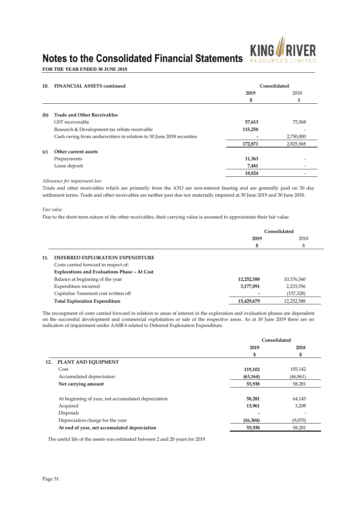

**FOR THE YEAR ENDED 30 JUNE 2019**

| <b>FINANCIAL ASSETS continued</b><br>10. |                                                                     | Consolidated |           |
|------------------------------------------|---------------------------------------------------------------------|--------------|-----------|
|                                          |                                                                     | 2019         | 2018      |
|                                          |                                                                     | \$           | \$        |
| (b)                                      | <b>Trade and Other Receivables</b>                                  |              |           |
|                                          | GST recoverable                                                     | 57,613       | 75,568    |
|                                          | Research & Development tax rebate receivable                        | 115,258      |           |
|                                          | Cash owing from underwriters in relation to 30 June 2018 securities |              | 2,750,000 |
|                                          |                                                                     | 172,871      | 2,825,568 |
| (c)                                      | Other current assets                                                |              |           |
|                                          | Prepayments                                                         | 11,363       |           |
|                                          | Lease deposit                                                       | 7,461        |           |
|                                          |                                                                     | 18,824       |           |

# *Allowance for impairment loss*

Trade and other receivables which are primarily from the ATO are non-interest bearing and are generally paid on 30 day settlement terms. Trade and other receivables are neither past due nor materially impaired at 30 June 2019 and 30 June 2018.

#### *Fair value*

Due to the short-term nature of the other receivables, their carrying value is assumed to approximate their fair value.

|     |                                                     | Consolidated |            |
|-----|-----------------------------------------------------|--------------|------------|
|     |                                                     | 2019         | 2018       |
|     |                                                     | ъ            | \$         |
| 11. | DEFERRED EXPLORATION EXPENDITURE                    |              |            |
|     | Costs carried forward in respect of:                |              |            |
|     | <b>Explorations and Evaluations Phase - At Cost</b> |              |            |
|     | Balance at beginning of the year                    | 12,252,588   | 10,176,360 |
|     | Expenditure incurred                                | 3,177,091    | 2,233,556  |
|     | Capitalise Tenement cost written off                |              | (157, 328) |
|     | <b>Total Exploration Expenditure</b>                | 15,429,679   | 12,252,588 |

The recoupment of costs carried forward in relation to areas of interest in the exploration and evaluation phases are dependent on the successful development and commercial exploitation or sale of the respective areas. As at 30 June 2019 there are no indicators of impairment under AASB 6 related to Deferred Exploration Expenditure.

|     |                                                    | Consolidated |           |
|-----|----------------------------------------------------|--------------|-----------|
|     |                                                    | 2019         | 2018      |
|     |                                                    | \$           | S         |
| 12. | PLANT AND EQUIPMENT                                |              |           |
|     | Cost                                               | 119,102      | 105,142   |
|     | Accumulated depreciation                           | (63, 164)    | (46, 861) |
|     | Net carrying amount                                | 55,938       | 58,281    |
|     | At beginning of year, net accumulated depreciation | 58,281       | 64,143    |
|     | Acquired                                           | 13,961       | 3,208     |
|     | Disposals                                          |              |           |
|     | Depreciation charge for the year                   | (16, 304)    | (9,070)   |
|     | At end of year, net accumulated depreciation       | 55,938       | 58,281    |

The useful life of the assets was estimated between 2 and 20 years for 2019.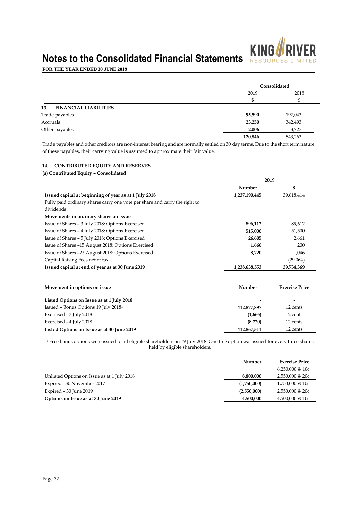

**FOR THE YEAR ENDED 30 JUNE 2019**

|                                     | Consolidated |            |
|-------------------------------------|--------------|------------|
|                                     | 2019<br>\$   | 2018<br>\$ |
|                                     |              |            |
| <b>FINANCIAL LIABILITIES</b><br>13. |              |            |
| Trade payables                      | 95,590       | 197,043    |
| Accruals                            | 23,250       | 342,493    |
| Other payables                      | 2,006        | 3,727      |
|                                     | 120,846      | 543,263    |

Trade payables and other creditors are non-interest bearing and are normally settled on 30 day terms. Due to the short term nature of these payables, their carrying value is assumed to approximate their fair value.

# **14. CONTRIBUTED EQUITY AND RESERVES**

**(a) Contributed Equity – Consolidated**

|                                                                            | 2019          |                       |
|----------------------------------------------------------------------------|---------------|-----------------------|
|                                                                            | Number        | \$                    |
| Issued capital at beginning of year as at 1 July 2018                      | 1,237,190,445 | 39,618,414            |
| Fully paid ordinary shares carry one vote per share and carry the right to |               |                       |
| dividends                                                                  |               |                       |
| Movements in ordinary shares on issue                                      |               |                       |
| Issue of Shares - 3 July 2018: Options Exercised                           | 896,117       | 89,612                |
| Issue of Shares - 4 July 2018: Options Exercised                           | 515,000       | 51,500                |
| Issue of Shares - 5 July 2018: Options Exercised                           | 26,605        | 2,661                 |
| Issue of Shares -15 August 2018: Options Exercised                         | 1,666         | 200                   |
| Issue of Shares -22 August 2018: Options Exercised                         | 8,720         | 1,046                 |
| Capital Raising Fees net of tax                                            |               | (29,064)              |
| Issued capital at end of year as at 30 June 2019                           | 1,238,638,553 | 39,734,369            |
| Movement in options on issue                                               | Number        | <b>Exercise Price</b> |
| Listed Options on Issue as at 1 July 2018                                  |               |                       |
| Issued - Bonus Options 19 July 2018 <sup>1</sup>                           | 412,877,897   | 12 cents              |
| Exercised - 3 July 2018                                                    | (1,666)       | 12 cents              |
| Exercised - 4 July 2018                                                    | (8,720)       | 12 cents              |
| Listed Options on Issue as at 30 June 2019                                 | 412,867,511   | 12 cents              |

<sup>1</sup> Free bonus options were issued to all eligible shareholders on 19 July 2018. One free option was issued for every three shares held by eligible shareholders.

|                                             | Number      | <b>Exercise Price</b> |
|---------------------------------------------|-------------|-----------------------|
|                                             |             | $6,250,000 \& 10c$    |
| Unlisted Options on Issue as at 1 July 2018 | 8.800.000   | $2.550,000 \& 20c$    |
| Expired - 30 November 2017                  | (1,750,000) | $1,750,000 \ @ \ 10c$ |
| Expired $-30$ June 2019                     | (2,550,000) | $2.550.000 \& 20c$    |
| Options on Issue as at 30 June 2019         | 4,500,000   | $4,500,000 \& 10c$    |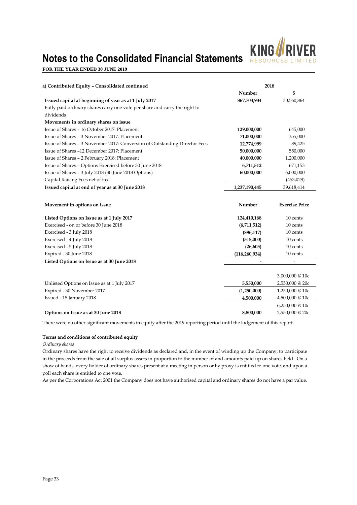

**FOR THE YEAR ENDED 30 JUNE 2019**

| a) Contributed Equity - Consolidated continued                             | 2018            |                       |  |
|----------------------------------------------------------------------------|-----------------|-----------------------|--|
|                                                                            | Number          | \$                    |  |
| Issued capital at beginning of year as at 1 July 2017                      | 867,703,934     | 30,560,864            |  |
| Fully paid ordinary shares carry one vote per share and carry the right to |                 |                       |  |
| dividends                                                                  |                 |                       |  |
| Movements in ordinary shares on issue                                      |                 |                       |  |
| Issue of Shares - 16 October 2017: Placement                               | 129,000,000     | 645,000               |  |
| Issue of Shares - 3 November 2017: Placement                               | 71,000,000      | 355,000               |  |
| Issue of Shares - 3 November 2017: Conversion of Outstanding Director Fees | 12,774,999      | 89,425                |  |
| Issue of Shares -12 December 2017: Placement                               | 50,000,000      | 550,000               |  |
| Issue of Shares - 2 February 2018: Placement                               | 40,000,000      | 1,200,000             |  |
| Issue of Shares - Options Exercised before 30 June 2018                    | 6,711,512       | 671,153               |  |
| Issue of Shares - 3 July 2018 (30 June 2018 Options)                       | 60,000,000      | 6,000,000             |  |
| Capital Raising Fees net of tax                                            |                 | (453,028)             |  |
| Issued capital at end of year as at 30 June 2018                           | 1,237,190,445   | 39,618,414            |  |
|                                                                            |                 |                       |  |
| Movement in options on issue                                               | Number          | <b>Exercise Price</b> |  |
| Listed Options on Issue as at 1 July 2017                                  | 124,410,168     | 10 cents              |  |
| Exercised - on or before 30 June 2018                                      | (6,711,512)     | 10 cents              |  |
| Exercised - 3 July 2018                                                    | (896, 117)      | 10 cents              |  |
| Exercised - 4 July 2018                                                    | (515,000)       | 10 cents              |  |
| Exercised - 5 July 2018                                                    | (26, 605)       | 10 cents              |  |
| Expired - 30 June 2018                                                     | (116, 260, 934) | 10 cents              |  |
| Listed Options on Issue as at 30 June 2018                                 |                 |                       |  |
|                                                                            |                 |                       |  |
|                                                                            |                 | 3,000,000 @ 10c       |  |
| Unlisted Options on Issue as at 1 July 2017                                | 5,550,000       | $2,550,000 \ @ \ 20c$ |  |
| Expired - 30 November 2017                                                 | (1,250,000)     | 1,250,000 @ 10c       |  |
| Issued - 18 January 2018                                                   | 4,500,000       | 4,500,000 @ 10c       |  |
|                                                                            |                 | $6,250,000 \& 10c$    |  |
| Options on Issue as at 30 June 2018                                        | 8,800,000       | 2,550,000 @ 20c       |  |

There were no other significant movements in equity after the 2019 reporting period until the lodgement of this report.

# **Terms and conditions of contributed equity**

*Ordinary shares*

Ordinary shares have the right to receive dividends as declared and, in the event of winding up the Company, to participate in the proceeds from the sale of all surplus assets in proportion to the number of and amounts paid up on shares held. On a show of hands, every holder of ordinary shares present at a meeting in person or by proxy is entitled to one vote, and upon a poll each share is entitled to one vote.

As per the Corporations Act 2001 the Company does not have authorised capital and ordinary shares do not have a par value.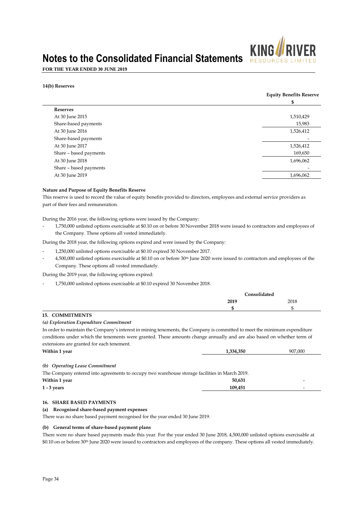

**FOR THE YEAR ENDED 30 JUNE 2019**

#### **14(b) Reserves**

|                        | <b>Equity Benefits Reserve</b> |
|------------------------|--------------------------------|
|                        | \$                             |
| <b>Reserves</b>        |                                |
| At 30 June 2015        | 1,510,429                      |
| Share-based payments   | 15,983                         |
| At 30 June 2016        | 1,526,412                      |
| Share-based payments   |                                |
| At 30 June 2017        | 1,526,412                      |
| Share - based payments | 169,650                        |
| At 30 June 2018        | 1,696,062                      |
| Share - based payments |                                |
| At 30 June 2019        | 1,696,062                      |
|                        |                                |

#### **Nature and Purpose of Equity Benefits Reserve**

This reserve is used to record the value of equity benefits provided to directors, employees and external service providers as part of their fees and remuneration.

During the 2016 year, the following options were issued by the Company:

- 1,750,000 unlisted options exercisable at \$0.10 on or before 30 November 2018 were issued to contractors and employees of the Company. These options all vested immediately.

During the 2018 year, the following options expired and were issued by the Company:

- 1,250,000 unlisted options exercisable at \$0.10 expired 30 November 2017.
- 4,500,000 unlisted options exercisable at \$0.10 on or before 30th June 2020 were issued to contractors and employees of the Company. These options all vested immediately.

During the 2019 year, the following options expired:

- 1,750,000 unlisted options exercisable at \$0.10 expired 30 November 2018.

|                       | Consolidated |      |
|-----------------------|--------------|------|
|                       | 2019         | 2018 |
|                       |              |      |
| <b>15 COMMITMENTS</b> |              |      |

# *(a) Exploration Expenditure Commitment*

In order to maintain the Company's interest in mining tenements, the Company is committed to meet the minimum expenditure conditions under which the tenements were granted. These amounts change annually and are also based on whether term of extensions are granted for each tenement.

**1,334,350** 907,000 907,000

# *(b) Operating Lease Commitment*

The Company entered into agreements to occupy two warehouse storage facilities in March 2019.

| Within 1 year |  | 50.631  | $\overline{\phantom{0}}$ |
|---------------|--|---------|--------------------------|
| $1 - 3$ years |  | 109.451 |                          |
|               |  |         |                          |

# **16. SHARE BASED PAYMENTS**

# **(a) Recognised share-based payment expenses**

There was no share based payment recognised for the year ended 30 June 2019.

#### **(b) General terms of share-based payment plans**

There were no share based payments made this year. For the year ended 30 June 2018, 4,500,000 unlisted options exercisable at \$0.10 on or before 30th June 2020 were issued to contractors and employees of the company. These options all vested immediately.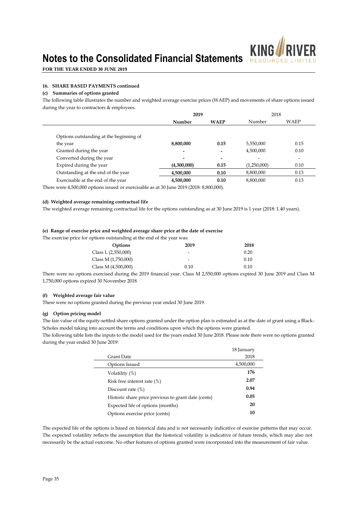

**FOR THE YEAR ENDED 30 JUNE 2019**

# **16. SHARE BASED PAYMENTS continued**

# **(c) Summaries of options granted**

The following table illustrates the number and weighted average exercise prices (WAEP) and movements of share options issued during the year to contractors & employees.

|                                         | 2019                              |             | 2018        |                          |
|-----------------------------------------|-----------------------------------|-------------|-------------|--------------------------|
|                                         | Number                            | <b>WAEP</b> | Number      | <b>WAEP</b>              |
|                                         |                                   |             |             |                          |
| Options outstanding at the beginning of |                                   |             |             |                          |
| the year                                | 8,800,000                         | 0.15        | 5,550,000   | 0.15                     |
| Granted during the year                 | $\,$                              |             | 4,500,000   | 0.10                     |
| Converted during the year               | $\overline{\phantom{a}}$          |             |             | $\overline{\phantom{0}}$ |
| Expired during the year                 | (4,300,000)                       | 0.15        | (1,250,000) | 0.10                     |
| Outstanding at the end of the year      | 4,500,000                         | 0.10        | 8,800,000   | 0.13                     |
| Exercisable at the end of the year      | 4,500,000                         | 0.10        | 8,800,000   | 0.13                     |
| $\cdot$ $\cdot$ $\cdot$ $\cdot$         | .001<br>$0.010$ (0.010 0.000,000) |             |             |                          |

There were 4,500,000 options issued or exercisable as at 30 June 2019 (2018: 8,800,000).

# **(d) Weighted average remaining contractual life**

The weighted average remaining contractual life for the options outstanding as at 30 June 2019 is 1 year (2018: 1.40 years).

# **(e) Range of exercise price and weighted average share price at the date of exercise**

The exercise price for options outstanding at the end of the year was:

| Options               | 2019                     | 2018 |
|-----------------------|--------------------------|------|
| Class L $(2,550,000)$ | $\overline{\phantom{a}}$ | 0.20 |
| Class M $(1,750,000)$ | $\overline{\phantom{a}}$ | 0.10 |
| Class M $(4,500,000)$ | 0.10                     | 0.10 |

There were no options exercised during the 2019 financial year. Class M 2,550,000 options expired 30 June 2019 and Class M 1,750,000 options expired 30 November 2018.

# **(f) Weighted average fair value**

There were no options granted during the previous year ended 30 June 2019.

# **(g) Option pricing model**

The fair value of the equity-settled share options granted under the option plan is estimated as at the date of grant using a Black-Scholes model taking into account the terms and conditions upon which the options were granted.

The following table lists the inputs to the model used for the years ended 30 June 2018. Please note there were no options granted during the year ended 30 June 2019:

|                                                     | 18 January |
|-----------------------------------------------------|------------|
| Grant Date                                          | 2018       |
| Options Issued                                      | 4,500,000  |
| Volatility (%)                                      | 176        |
| Risk free interest rate (%)                         | 2.07       |
| Discount rate (%)                                   | 0.94       |
| Historic share price previous to grant date (cents) | 0.05       |
| Expected life of options (months)                   | 20         |
| Options exercise price (cents)                      | 10         |

The expected life of the options is based on historical data and is not necessarily indicative of exercise patterns that may occur. The expected volatility reflects the assumption that the historical volatility is indicative of future trends, which may also not necessarily be the actual outcome. No other features of options granted were incorporated into the measurement of fair value.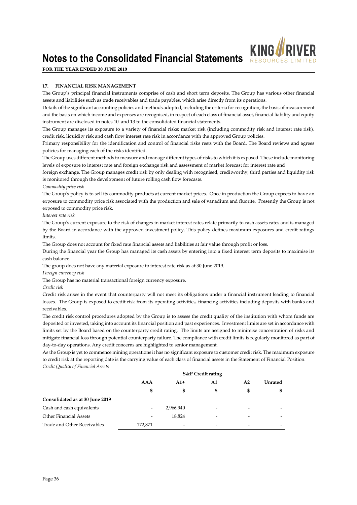

# **FOR THE YEAR ENDED 30 JUNE 2019**

# **17. FINANCIAL RISK MANAGEMENT**

The Group's principal financial instruments comprise of cash and short term deposits. The Group has various other financial assets and liabilities such as trade receivables and trade payables, which arise directly from its operations.

Details of the significant accounting policies and methods adopted, including the criteria for recognition, the basis of measurement and the basis on which income and expenses are recognised, in respect of each class of financial asset, financial liability and equity instrument are disclosed in notes 10 and 13 to the consolidated financial statements.

The Group manages its exposure to a variety of financial risks: market risk (including commodity risk and interest rate risk), credit risk, liquidity risk and cash flow interest rate risk in accordance with the approved Group policies.

Primary responsibility for the identification and control of financial risks rests with the Board. The Board reviews and agrees policies for managing each of the risks identified.

The Group uses different methods to measure and manage different types of risks to which it is exposed. These include monitoring levels of exposure to interest rate and foreign exchange risk and assessment of market forecast for interest rate and

foreign exchange. The Group manages credit risk by only dealing with recognised, creditworthy, third parties and liquidity risk is monitored through the development of future rolling cash flow forecasts.

*Commodity price risk*

The Group's policy is to sell its commodity products at current market prices. Once in production the Group expects to have an exposure to commodity price risk associated with the production and sale of vanadium and fluorite. Presently the Group is not exposed to commodity price risk.

*Interest rate risk*

The Group's current exposure to the risk of changes in market interest rates relate primarily to cash assets rates and is managed by the Board in accordance with the approved investment policy. This policy defines maximum exposures and credit ratings limits.

The Group does not account for fixed rate financial assets and liabilities at fair value through profit or loss.

During the financial year the Group has managed its cash assets by entering into a fixed interest term deposits to maximise its cash balance.

The group does not have any material exposure to interest rate risk as at 30 June 2019.

*Foreign currency risk*

The Group has no material transactional foreign currency exposure.

*Credit risk*

Credit risk arises in the event that counterparty will not meet its obligations under a financial instrument leading to financial losses. The Group is exposed to credit risk from its operating activities, financing activities including deposits with banks and receivables.

The credit risk control procedures adopted by the Group is to assess the credit quality of the institution with whom funds are deposited or invested, taking into account its financial position and past experiences. Investment limits are set in accordance with limits set by the Board based on the counterparty credit rating. The limits are assigned to minimise concentration of risks and mitigate financial loss through potential counterparty failure. The compliance with credit limits is regularly monitored as part of day-to-day operations. Any credit concerns are highlighted to senior management.

As the Group is yet to commence mining operations it has no significant exposure to customer credit risk. The maximum exposure to credit risk at the reporting date is the carrying value of each class of financial assets in the Statement of Financial Position. *Credit Quality of Financial Assets*

|                                 | <b>S&amp;P</b> Credit rating |           |                          |                          |                          |
|---------------------------------|------------------------------|-----------|--------------------------|--------------------------|--------------------------|
|                                 | AAA<br>$A1+$                 |           | A1                       | A2                       | Unrated                  |
|                                 | \$                           | \$        | \$                       | \$                       |                          |
| Consolidated as at 30 June 2019 |                              |           |                          |                          |                          |
| Cash and cash equivalents       | ۰.                           | 2,966,940 | -                        | -                        | -                        |
| <b>Other Financial Assets</b>   | $\overline{\phantom{0}}$     | 18.824    | $\overline{\phantom{0}}$ | $\overline{\phantom{a}}$ | $\overline{\phantom{a}}$ |
| Trade and Other Receivables     | 172,871                      | -         | -                        | -                        | $\overline{\phantom{a}}$ |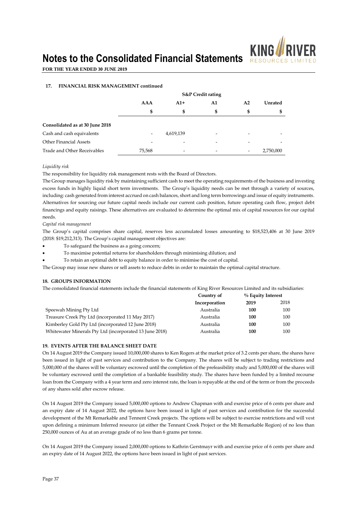

**FOR THE YEAR ENDED 30 JUNE 2019**

# **17. FINANCIAL RISK MANAGEMENT continued**

|                                 | <b>S&amp;P</b> Credit rating |           |    |    |                |  |
|---------------------------------|------------------------------|-----------|----|----|----------------|--|
|                                 | AAA                          | $A1+$     | A1 | A2 | <b>Unrated</b> |  |
|                                 | \$                           | \$        | \$ | \$ | \$             |  |
| Consolidated as at 30 June 2018 |                              |           |    |    |                |  |
| Cash and cash equivalents       | -                            | 4,619,139 | -  | -  |                |  |
| <b>Other Financial Assets</b>   | -                            |           | -  | -  |                |  |
| Trade and Other Receivables     | 75,568                       | -         |    | -  | 2,750,000      |  |

#### *Liquidity risk*

The responsibility for liquidity risk management rests with the Board of Directors.

The Group manages liquidity risk by maintaining sufficient cash to meet the operating requirements of the business and investing excess funds in highly liquid short term investments. The Group's liquidity needs can be met through a variety of sources, including: cash generated from interest accrued on cash balances, short and long term borrowings and issue of equity instruments. Alternatives for sourcing our future capital needs include our current cash position, future operating cash flow, project debt financings and equity raisings. These alternatives are evaluated to determine the optimal mix of capital resources for our capital needs.

#### *Capital risk management*

The Group's capital comprises share capital, reserves less accumulated losses amounting to \$18,523,406 at 30 June 2019 (2018: \$19,212,313). The Group's capital management objectives are:

- To safeguard the business as a going concern;
- To maximise potential returns for shareholders through minimising dilution; and
- To retain an optimal debt to equity balance in order to minimise the cost of capital.

The Group may issue new shares or sell assets to reduce debts in order to maintain the optimal capital structure.

# **18. GROUPS INFORMATION**

The consolidated financial statements include the financial statements of King River Resources Limited and its subsidiaries:

|                                                         | Country of    | % Equity Interest |      |
|---------------------------------------------------------|---------------|-------------------|------|
|                                                         | Incorporation | 2019              | 2018 |
| Speewah Mining Pty Ltd                                  | Australia     | 100               | 100  |
| Treasure Creek Pty Ltd (incorporated 11 May 2017)       | Australia     | 100               | 100  |
| Kimberley Gold Pty Ltd (incorporated 12 June 2018)      | Australia     | 100               | 100  |
| Whitewater Minerals Pty Ltd (incorporated 13 June 2018) | Australia     | 100               | 100  |

# **19. EVENTS AFTER THE BALANCE SHEET DATE**

On 14 August 2019 the Company issued 10,000,000 shares to Ken Rogers at the market price of 3.2 cents per share, the shares have been issued in light of past services and contribution to the Company. The shares will be subject to trading restrictions and 5,000,000 of the shares will be voluntary escrowed until the completion of the prefeasibility study and 5,000,000 of the shares will be voluntary escrowed until the completion of a bankable feasibility study. The shares have been funded by a limited recourse loan from the Company with a 4 year term and zero interest rate, the loan is repayable at the end of the term or from the proceeds of any shares sold after escrow release.

On 14 August 2019 the Company issued 5,000,000 options to Andrew Chapman with and exercise price of 6 cents per share and an expiry date of 14 August 2022, the options have been issued in light of past services and contribution for the successful development of the Mt Remarkable and Tennent Creek projects. The options will be subject to exercise restrictions and will vest upon defining a minimum Inferred resource (at either the Tennant Creek Project or the Mt Remarkable Region) of no less than 250,000 ounces of Au at an average grade of no less than 6 grams per tonne.

On 14 August 2019 the Company issued 2,000,000 options to Kathrin Gerstmayr with and exercise price of 6 cents per share and an expiry date of 14 August 2022, the options have been issued in light of past services.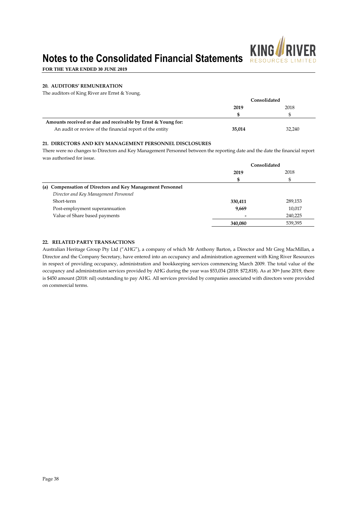

**FOR THE YEAR ENDED 30 JUNE 2019**

# **20. AUDITORS' REMUNERATION**

The auditors of King River are Ernst & Young.

|                                                              | Consolidated |        |
|--------------------------------------------------------------|--------------|--------|
|                                                              | 2019         | 2018   |
|                                                              |              |        |
| Amounts received or due and receivable by Ernst & Young for: |              |        |
| An audit or review of the financial report of the entity     | 35,014       | 32,240 |

# **21. DIRECTORS AND KEY MANAGEMENT PERSONNEL DISCLOSURES**

There were no changes to Directors and Key Management Personnel between the reporting date and the date the financial report was authorised for issue.

|                                                            | Consolidated |         |      |
|------------------------------------------------------------|--------------|---------|------|
|                                                            | 2019         |         | 2018 |
|                                                            | \$           | \$      |      |
| (a) Compensation of Directors and Key Management Personnel |              |         |      |
| Director and Key Management Personnel                      |              |         |      |
| Short-term                                                 | 330,411      | 289,153 |      |
| Post-employment superannuation                             | 9,669        | 10,017  |      |
| Value of Share based payments                              |              | 240,225 |      |
|                                                            | 340,080      | 539,395 |      |
|                                                            |              |         |      |

# **22. RELATED PARTY TRANSACTIONS**

Australian Heritage Group Pty Ltd ("AHG"), a company of which Mr Anthony Barton, a Director and Mr Greg MacMillan, a Director and the Company Secretary, have entered into an occupancy and administration agreement with King River Resources in respect of providing occupancy, administration and bookkeeping services commencing March 2009. The total value of the occupancy and administration services provided by AHG during the year was \$53,034 (2018: \$72,818). As at 30th June 2019, there is \$450 amount (2018: nil) outstanding to pay AHG. All services provided by companies associated with directors were provided on commercial terms.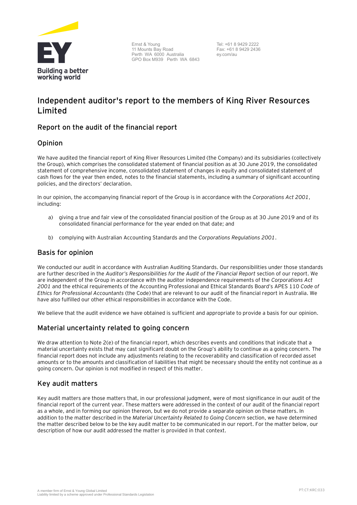

Ernst & Young 11 Mounts Bay Road Perth WA 6000 Australia GPO Box M939 Perth WA 6843

Tel: +61 8 9429 2222 Fax: +61 8 9429 2436 ey.com/au

# **Independent auditor's report to the members of King River Resources Limited**

# **Report on the audit of the financial report**

# **Opinion**

We have audited the financial report of King River Resources Limited (the Company) and its subsidiaries (collectively the Group), which comprises the consolidated statement of financial position as at 30 June 2019, the consolidated statement of comprehensive income, consolidated statement of changes in equity and consolidated statement of cash flows for the year then ended, notes to the financial statements, including a summary of significant accounting policies, and the directors' declaration.

In our opinion, the accompanying financial report of the Group is in accordance with the *Corporations Act 2001*, including:

- a) giving a true and fair view of the consolidated financial position of the Group as at 30 June 2019 and of its consolidated financial performance for the year ended on that date; and
- b) complying with Australian Accounting Standards and the *Corporations Regulations 2001*.

# **Basis for opinion**

We conducted our audit in accordance with Australian Auditing Standards. Our responsibilities under those standards are further described in the *Auditor's Responsibilities for the Audit of the Financial Report* section of our report. We are independent of the Group in accordance with the auditor independence requirements of the *Corporations Act 2001* and the ethical requirements of the Accounting Professional and Ethical Standards Board's APES 110 *Code of Ethics for Professional Accountants* (the Code) that are relevant to our audit of the financial report in Australia. We have also fulfilled our other ethical responsibilities in accordance with the Code.

We believe that the audit evidence we have obtained is sufficient and appropriate to provide a basis for our opinion.

# **Material uncertainty related to going concern**

We draw attention to Note 2(e) of the financial report, which describes events and conditions that indicate that a material uncertainty exists that may cast significant doubt on the Group's ability to continue as a going concern. The financial report does not include any adjustments relating to the recoverability and classification of recorded asset amounts or to the amounts and classification of liabilities that might be necessary should the entity not continue as a going concern. Our opinion is not modified in respect of this matter.

# **Key audit matters**

Key audit matters are those matters that, in our professional judgment, were of most significance in our audit of the financial report of the current year. These matters were addressed in the context of our audit of the financial report as a whole, and in forming our opinion thereon, but we do not provide a separate opinion on these matters. In addition to the matter described in the *Material Uncertainty Related to Going Concern* section, we have determined the matter described below to be the key audit matter to be communicated in our report. For the matter below, our description of how our audit addressed the matter is provided in that context.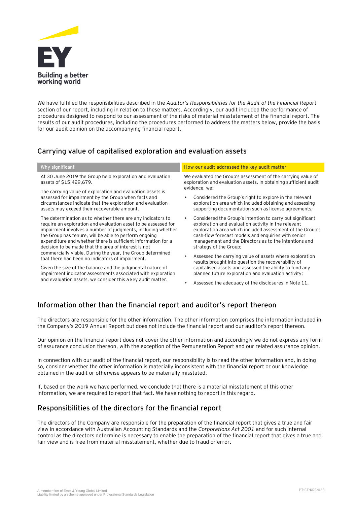

We have fulfilled the responsibilities described in the *Auditor's Responsibilities for the Audit of the Financial Repor*t section of our report, including in relation to these matters. Accordingly, our audit included the performance of procedures designed to respond to our assessment of the risks of material misstatement of the financial report. The results of our audit procedures, including the procedures performed to address the matters below, provide the basis for our audit opinion on the accompanying financial report.

# **Carrying value of capitalised exploration and evaluation assets**

| How our audit addressed the key audit matter                                                                                                                                                                                                                                                                            |
|-------------------------------------------------------------------------------------------------------------------------------------------------------------------------------------------------------------------------------------------------------------------------------------------------------------------------|
| We evaluated the Group's assessment of the carrying value of<br>exploration and evaluation assets. In obtaining sufficient audit<br>evidence, we:                                                                                                                                                                       |
| Considered the Group's right to explore in the relevant<br>exploration area which included obtaining and assessing<br>supporting documentation such as license agreements;                                                                                                                                              |
| Considered the Group's intention to carry out significant<br>exploration and evaluation activity in the relevant<br>exploration area which included assessment of the Group's<br>cash-flow forecast models and enquiries with senior<br>management and the Directors as to the intentions and<br>strategy of the Group; |
| Assessed the carrying value of assets where exploration<br>results brought into question the recoverability of<br>capitalised assets and assessed the ability to fund any<br>planned future exploration and evaluation activity;                                                                                        |
|                                                                                                                                                                                                                                                                                                                         |

Assessed the adequacy of the disclosures in Note 11.

# **Information other than the financial report and auditor's report thereon**

The directors are responsible for the other information. The other information comprises the information included in the Company's 2019 Annual Report but does not include the financial report and our auditor's report thereon.

Our opinion on the financial report does not cover the other information and accordingly we do not express any form of assurance conclusion thereon, with the exception of the Remuneration Report and our related assurance opinion.

In connection with our audit of the financial report, our responsibility is to read the other information and, in doing so, consider whether the other information is materially inconsistent with the financial report or our knowledge obtained in the audit or otherwise appears to be materially misstated.

If, based on the work we have performed, we conclude that there is a material misstatement of this other information, we are required to report that fact. We have nothing to report in this regard.

# **Responsibilities of the directors for the financial report**

The directors of the Company are responsible for the preparation of the financial report that gives a true and fair view in accordance with Australian Accounting Standards and the *Corporations Act 2001* and for such internal control as the directors determine is necessary to enable the preparation of the financial report that gives a true and fair view and is free from material misstatement, whether due to fraud or error.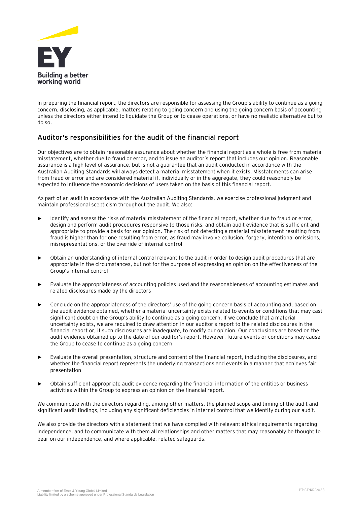

In preparing the financial report, the directors are responsible for assessing the Group's ability to continue as a going concern, disclosing, as applicable, matters relating to going concern and using the going concern basis of accounting unless the directors either intend to liquidate the Group or to cease operations, or have no realistic alternative but to do so.

# **Auditor's responsibilities for the audit of the financial report**

Our objectives are to obtain reasonable assurance about whether the financial report as a whole is free from material misstatement, whether due to fraud or error, and to issue an auditor's report that includes our opinion. Reasonable assurance is a high level of assurance, but is not a guarantee that an audit conducted in accordance with the Australian Auditing Standards will always detect a material misstatement when it exists. Misstatements can arise from fraud or error and are considered material if, individually or in the aggregate, they could reasonably be expected to influence the economic decisions of users taken on the basis of this financial report.

As part of an audit in accordance with the Australian Auditing Standards, we exercise professional judgment and maintain professional scepticism throughout the audit. We also:

- ► Identify and assess the risks of material misstatement of the financial report, whether due to fraud or error, design and perform audit procedures responsive to those risks, and obtain audit evidence that is sufficient and appropriate to provide a basis for our opinion. The risk of not detecting a material misstatement resulting from fraud is higher than for one resulting from error, as fraud may involve collusion, forgery, intentional omissions, misrepresentations, or the override of internal control
- ► Obtain an understanding of internal control relevant to the audit in order to design audit procedures that are appropriate in the circumstances, but not for the purpose of expressing an opinion on the effectiveness of the Group's internal control
- ► Evaluate the appropriateness of accounting policies used and the reasonableness of accounting estimates and related disclosures made by the directors
- Conclude on the appropriateness of the directors' use of the going concern basis of accounting and, based on the audit evidence obtained, whether a material uncertainty exists related to events or conditions that may cast significant doubt on the Group's ability to continue as a going concern. If we conclude that a material uncertainty exists, we are required to draw attention in our auditor's report to the related disclosures in the financial report or, if such disclosures are inadequate, to modify our opinion. Our conclusions are based on the audit evidence obtained up to the date of our auditor's report. However, future events or conditions may cause the Group to cease to continue as a going concern
- ► Evaluate the overall presentation, structure and content of the financial report, including the disclosures, and whether the financial report represents the underlying transactions and events in a manner that achieves fair presentation
- Obtain sufficient appropriate audit evidence regarding the financial information of the entities or business activities within the Group to express an opinion on the financial report.

We communicate with the directors regarding, among other matters, the planned scope and timing of the audit and significant audit findings, including any significant deficiencies in internal control that we identify during our audit.

We also provide the directors with a statement that we have complied with relevant ethical requirements regarding independence, and to communicate with them all relationships and other matters that may reasonably be thought to bear on our independence, and where applicable, related safeguards.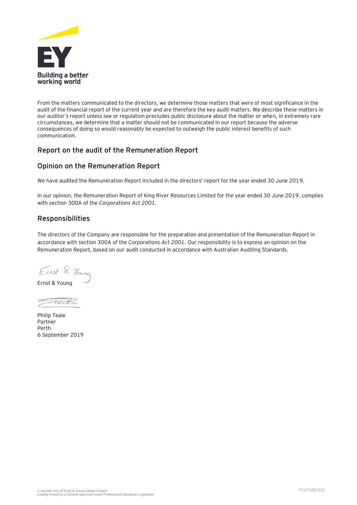

From the matters communicated to the directors, we determine those matters that were of most significance in the audit of the financial report of the current year and are therefore the key audit matters. We describe these matters in our auditor's report unless law or regulation precludes public disclosure about the matter or when, in extremely rare circumstances, we determine that a matter should not be communicated in our report because the adverse consequences of doing so would reasonably be expected to outweigh the public interest benefits of such communication.

# **Report on the audit of the Remuneration Report**

# **Opinion on the Remuneration Report**

We have audited the Remuneration Report included in the directors' report for the year ended 30 June 2019.

In our opinion, the Remuneration Report of King River Resources Limited for the year ended 30 June 2019, complies with section 300A of the *Corporations Act 2001.*

# **Responsibilities**

The directors of the Company are responsible for the preparation and presentation of the Remuneration Report in accordance with section 300A of the *Corporations Act 2001*. Our responsibility is to express an opinion on the Remuneration Report, based on our audit conducted in accordance with Australian Auditing Standards.

Ernst & Young Ernst & Young

 $-teils$ 

Philip Teale Partner Perth 6 September 2019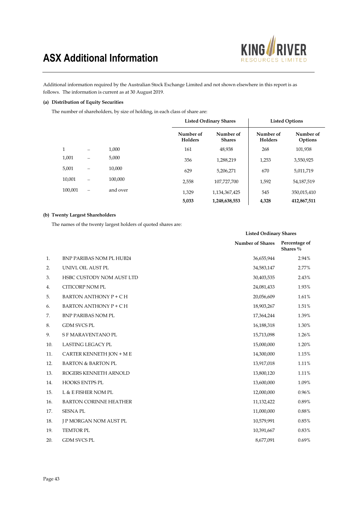

Additional information required by the Australian Stock Exchange Limited and not shown elsewhere in this report is as follows. The information is current as at 30 August 2019.

# **(a) Distribution of Equity Securities**

The number of shareholders, by size of holding, in each class of share are:

|         |                          |          | <b>Listed Ordinary Shares</b> |                            | <b>Listed Options</b> |                      |
|---------|--------------------------|----------|-------------------------------|----------------------------|-----------------------|----------------------|
|         |                          |          | Number of<br>Holders          | Number of<br><b>Shares</b> | Number of<br>Holders  | Number of<br>Options |
| 1       | $\overline{\phantom{0}}$ | 1,000    | 161                           | 48,938                     | 268                   | 101,938              |
| 1,001   |                          | 5,000    | 356                           | 1,288,219                  | 1,253                 | 3,550,925            |
| 5.001   | -                        | 10,000   | 629                           | 5,206,271                  | 670                   | 5,011,719            |
| 10,001  | $\equiv$                 | 100.000  | 2,558                         | 107,727,700                | 1,592                 | 54,187,519           |
| 100,001 | $\overline{\phantom{0}}$ | and over | 1,329                         | 1,134,367,425              | 545                   | 350,015,410          |
|         |                          |          | 5,033                         | 1,248,638,553              | 4,328                 | 412,867,511          |

# **(b) Twenty Largest Shareholders**

The names of the twenty largest holders of quoted shares are:

|     |                                 | <b>Listed Ordinary Shares</b> |                                         |
|-----|---------------------------------|-------------------------------|-----------------------------------------|
|     |                                 | <b>Number of Shares</b>       | Percentage of<br>Shares <sup>0</sup> /o |
| 1.  | <b>BNP PARIBAS NOM PL HUB24</b> | 36,655,944                    | 2.94%                                   |
| 2.  | UNIVL OIL AUST PL               | 34,583,147                    | 2.77%                                   |
| 3.  | HSBC CUSTODY NOM AUST LTD       | 30,403,535                    | 2.43%                                   |
| 4.  | <b>CITICORP NOM PL</b>          | 24,081,433                    | 1.93%                                   |
| 5.  | BARTON ANTHONY P + C H          | 20,056,609                    | 1.61%                                   |
| 6.  | <b>BARTON ANTHONY P + C H</b>   | 18,903,267                    | 1.51%                                   |
| 7.  | <b>BNP PARIBAS NOM PL</b>       | 17,364,244                    | 1.39%                                   |
| 8.  | <b>GDM SVCS PL</b>              | 16,188,318                    | 1.30%                                   |
| 9.  | <b>S F MARAVENTANO PL</b>       | 15,713,098                    | 1.26%                                   |
| 10. | <b>LASTING LEGACY PL</b>        | 15,000,000                    | 1.20%                                   |
| 11. | CARTER KENNETH JON + M E        | 14,300,000                    | 1.15%                                   |
| 12. | <b>BARTON &amp; BARTON PL</b>   | 13,917,018                    | 1.11%                                   |
| 13. | ROGERS KENNETH ARNOLD           | 13,800,120                    | 1.11%                                   |
| 14. | <b>HOOKS ENTPS PL</b>           | 13,600,000                    | 1.09%                                   |
| 15. | L & E FISHER NOM PL             | 12,000,000                    | 0.96%                                   |
| 16. | <b>BARTON CORINNE HEATHER</b>   | 11,132,422                    | 0.89%                                   |
| 17. | <b>SESNAPL</b>                  | 11,000,000                    | 0.88%                                   |
| 18. | <b>J P MORGAN NOM AUST PL</b>   | 10,579,991                    | 0.85%                                   |
| 19. | <b>TEMTOR PL</b>                | 10,391,667                    | 0.83%                                   |
| 20. | <b>GDM SVCS PL</b>              | 8,677,091                     | 0.69%                                   |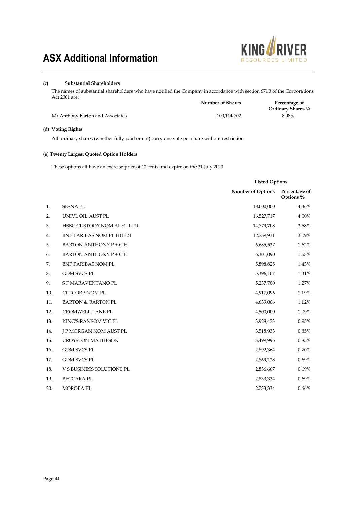# **ASX Additional Information**



# **(c) Substantial Shareholders**

The names of substantial shareholders who have notified the Company in accordance with section 671B of the Corporations Act 2001 are:

|                                  | Number of Shares | Percentage of<br><b>Ordinary Shares</b> % |
|----------------------------------|------------------|-------------------------------------------|
| Mr Anthony Barton and Associates | 100.114.702      | $8.08\%$                                  |

# **(d) Voting Rights**

All ordinary shares (whether fully paid or not) carry one vote per share without restriction.

# **(e) Twenty Largest Quoted Option Holders**

These options all have an exercise price of 12 cents and expire on the 31 July 2020

|     |                                 |                          | <b>Listed Options</b>                    |  |
|-----|---------------------------------|--------------------------|------------------------------------------|--|
|     |                                 | <b>Number of Options</b> | Percentage of<br>Options <sup>0</sup> /o |  |
| 1.  | <b>SESNAPL</b>                  | 18,000,000               | 4.36%                                    |  |
| 2.  | UNIVL OIL AUST PL               | 16,527,717               | 4.00%                                    |  |
| 3.  | HSBC CUSTODY NOM AUST LTD       | 14,779,708               | 3.58%                                    |  |
| 4.  | <b>BNP PARIBAS NOM PL HUB24</b> | 12,739,931               | 3.09%                                    |  |
| 5.  | <b>BARTON ANTHONY P + C H</b>   | 6,685,537                | 1.62%                                    |  |
| 6.  | <b>BARTON ANTHONY P + C H</b>   | 6,301,090                | 1.53%                                    |  |
| 7.  | <b>BNP PARIBAS NOM PL</b>       | 5,898,825                | 1.43%                                    |  |
| 8.  | <b>GDM SVCS PL</b>              | 5,396,107                | 1.31%                                    |  |
| 9.  | <b>S F MARAVENTANO PL</b>       | 5,237,700                | 1.27%                                    |  |
| 10. | <b>CITICORP NOM PL</b>          | 4,917,096                | 1.19%                                    |  |
| 11. | <b>BARTON &amp; BARTON PL</b>   | 4,639,006                | 1.12%                                    |  |
| 12. | <b>CROMWELL LANE PL</b>         | 4,500,000                | 1.09%                                    |  |
| 13. | KING'S RANSOM VIC PL            | 3,928,473                | 0.95%                                    |  |
| 14. | <b>J P MORGAN NOM AUST PL</b>   | 3,518,933                | 0.85%                                    |  |
| 15. | <b>CROYSTON MATHESON</b>        | 3,499,996                | 0.85%                                    |  |
| 16. | <b>GDM SVCS PL</b>              | 2,892,364                | 0.70%                                    |  |
| 17. | <b>GDM SVCS PL</b>              | 2,869,128                | 0.69%                                    |  |
| 18. | V S BUSINESS SOLUTIONS PL       | 2,836,667                | 0.69%                                    |  |
| 19. | <b>BECCARA PL</b>               | 2,833,334                | 0.69%                                    |  |
| 20. | <b>MOROBA PL</b>                | 2,733,334                | 0.66%                                    |  |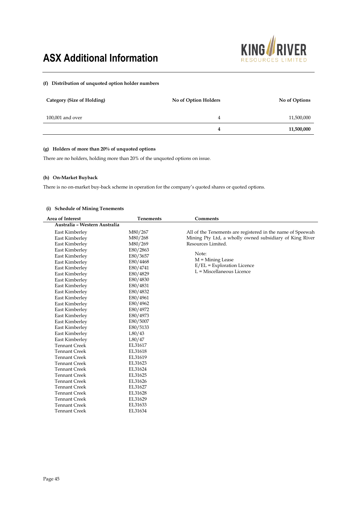

# **(f) Distribution of unquoted option holder numbers**

| Category (Size of Holding) | No of Option Holders | No of Options |
|----------------------------|----------------------|---------------|
| 100,001 and over           | 4                    | 11,500,000    |
|                            | 4                    | 11,500,000    |

# **(g) Holders of more than 20% of unquoted options**

There are no holders, holding more than 20% of the unquoted options on issue.

# **(h) On-Market Buyback**

There is no on-market buy-back scheme in operation for the company's quoted shares or quoted options.

# **(i) Schedule of Mining Tenements**

| <b>Area of Interest</b>       | <b>Tenements</b> | <b>Comments</b>                                            |
|-------------------------------|------------------|------------------------------------------------------------|
| Australia - Western Australia |                  |                                                            |
| East Kimberley                | M80/267          | All of the Tenements are registered in the name of Speewah |
| East Kimberley                | M80/268          | Mining Pty Ltd, a wholly owned subsidiary of King River    |
| East Kimberley                | M80/269          | Resources Limited.                                         |
| East Kimberley                | E80/2863         |                                                            |
| East Kimberley                | E80/3657         | Note:                                                      |
| East Kimberley                | E80/4468         | $M =$ Mining Lease<br>$E/EL$ = Exploration Licence         |
| East Kimberley                | E80/4741         |                                                            |
| East Kimberley                | E80/4829         | L = Miscellaneous Licence                                  |
| East Kimberley                | E80/4830         |                                                            |
| East Kimberley                | E80/4831         |                                                            |
| East Kimberley                | E80/4832         |                                                            |
| East Kimberley                | E80/4961         |                                                            |
| East Kimberley                | E80/4962         |                                                            |
| East Kimberley                | E80/4972         |                                                            |
| East Kimberley                | E80/4973         |                                                            |
| East Kimberley                | E80/5007         |                                                            |
| East Kimberley                | E80/5133         |                                                            |
| East Kimberley                | L80/43           |                                                            |
| East Kimberley                | L80/47           |                                                            |
| <b>Tennant Creek</b>          | EL31617          |                                                            |
| <b>Tennant Creek</b>          | EL31618          |                                                            |
| <b>Tennant Creek</b>          | EL31619          |                                                            |
| <b>Tennant Creek</b>          | EL31623          |                                                            |
| <b>Tennant Creek</b>          | EL31624          |                                                            |
| <b>Tennant Creek</b>          | EL31625          |                                                            |
| <b>Tennant Creek</b>          | EL31626          |                                                            |
| <b>Tennant Creek</b>          | EL31627          |                                                            |
| <b>Tennant Creek</b>          | EL31628          |                                                            |
| <b>Tennant Creek</b>          | EL31629          |                                                            |
| <b>Tennant Creek</b>          | EL31633          |                                                            |
| <b>Tennant Creek</b>          | EL31634          |                                                            |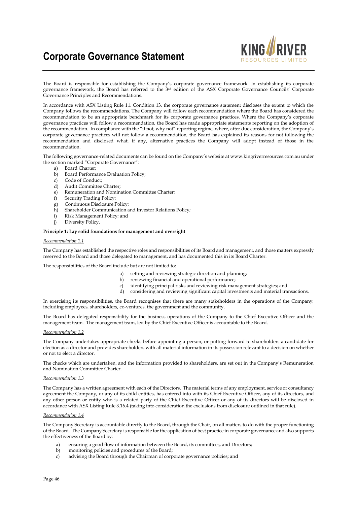

The Board is responsible for establishing the Company's corporate governance framework. In establishing its corporate governance framework, the Board has referred to the 3rd edition of the ASX Corporate Governance Councils' Corporate Governance Principles and Recommendations.

In accordance with ASX Listing Rule 1.1 Condition 13, the corporate governance statement discloses the extent to which the Company follows the recommendations. The Company will follow each recommendation where the Board has considered the recommendation to be an appropriate benchmark for its corporate governance practices. Where the Company's corporate governance practices will follow a recommendation, the Board has made appropriate statements reporting on the adoption of the recommendation. In compliance with the "if not, why not" reporting regime, where, after due consideration, the Company's corporate governance practices will not follow a recommendation, the Board has explained its reasons for not following the recommendation and disclosed what, if any, alternative practices the Company will adopt instead of those in the recommendation.

The following governance-related documents can be found on the Company's website at www.kingriverresources.com.au under the section marked "Corporate Governance":

- a) Board Charter;
- b) Board Performance Evaluation Policy;
- c) Code of Conduct;
- d) Audit Committee Charter;
- e) Remuneration and Nomination Committee Charter;
- f) Security Trading Policy;
- g) Continuous Disclosure Policy;
- h) Shareholder Communication and Investor Relations Policy;
- i) Risk Management Policy; and
- j) Diversity Policy.

#### **Principle 1: Lay solid foundations for management and oversight**

#### *Recommendation 1.1*

The Company has established the respective roles and responsibilities of its Board and management, and those matters expressly reserved to the Board and those delegated to management, and has documented this in its Board Charter.

The responsibilities of the Board include but are not limited to:

- a) setting and reviewing strategic direction and planning;
- b) reviewing financial and operational performance;
- 
- c) identifying principal risks and reviewing risk management strategies; and d) considering and reviewing significant capital investments and material tra considering and reviewing significant capital investments and material transactions.

In exercising its responsibilities, the Board recognises that there are many stakeholders in the operations of the Company, including employees, shareholders, co-ventures, the government and the community.

The Board has delegated responsibility for the business operations of the Company to the Chief Executive Officer and the management team. The management team, led by the Chief Executive Officer is accountable to the Board.

#### *Recommendation 1.2*

The Company undertakes appropriate checks before appointing a person, or putting forward to shareholders a candidate for election as a director and provides shareholders with all material information in its possession relevant to a decision on whether or not to elect a director.

The checks which are undertaken, and the information provided to shareholders, are set out in the Company's Remuneration and Nomination Committee Charter.

#### *Recommendation 1.3*

The Company has a written agreement with each of the Directors. The material terms of any employment, service or consultancy agreement the Company, or any of its child entities, has entered into with its Chief Executive Officer, any of its directors, and any other person or entity who is a related party of the Chief Executive Officer or any of its directors will be disclosed in accordance with ASX Listing Rule 3.16.4 (taking into consideration the exclusions from disclosure outlined in that rule).

#### *Recommendation 1.4*

The Company Secretary is accountable directly to the Board, through the Chair, on all matters to do with the proper functioning of the Board. The Company Secretary is responsible for the application of best practice in corporate governance and also supports the effectiveness of the Board by:

- a) ensuring a good flow of information between the Board, its committees, and Directors;
- b) monitoring policies and procedures of the Board;
- c) advising the Board through the Chairman of corporate governance policies; and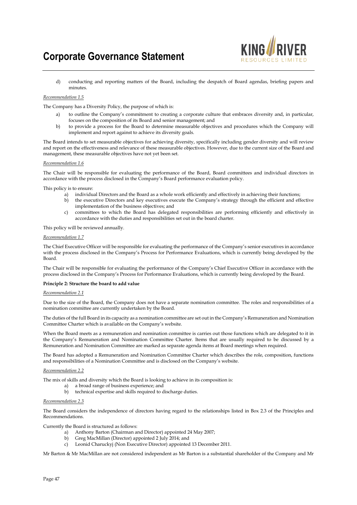

d) conducting and reporting matters of the Board, including the despatch of Board agendas, briefing papers and minutes.

#### *Recommendation 1.5*

The Company has a Diversity Policy, the purpose of which is:

- a) to outline the Company's commitment to creating a corporate culture that embraces diversity and, in particular, focuses on the composition of its Board and senior management; and
- b) to provide a process for the Board to determine measurable objectives and procedures which the Company will implement and report against to achieve its diversity goals.

The Board intends to set measurable objectives for achieving diversity, specifically including gender diversity and will review and report on the effectiveness and relevance of these measurable objectives. However, due to the current size of the Board and management, these measurable objectives have not yet been set.

#### *Recommendation 1.6*

The Chair will be responsible for evaluating the performance of the Board, Board committees and individual directors in accordance with the process disclosed in the Company's Board performance evaluation policy.

This policy is to ensure:

- a) individual Directors and the Board as a whole work efficiently and effectively in achieving their functions;
- b) the executive Directors and key executives execute the Company's strategy through the efficient and effective implementation of the business objectives; and
- c) committees to which the Board has delegated responsibilities are performing efficiently and effectively in accordance with the duties and responsibilities set out in the board charter.

This policy will be reviewed annually.

#### *Recommendation 1.7*

The Chief Executive Officer will be responsible for evaluating the performance of the Company's senior executives in accordance with the process disclosed in the Company's Process for Performance Evaluations, which is currently being developed by the Board.

The Chair will be responsible for evaluating the performance of the Company's Chief Executive Officer in accordance with the process disclosed in the Company's Process for Performance Evaluations, which is currently being developed by the Board.

#### **Principle 2: Structure the board to add value**

### *Recommendation 2.1*

Due to the size of the Board, the Company does not have a separate nomination committee. The roles and responsibilities of a nomination committee are currently undertaken by the Board.

The duties of the full Board in its capacity as a nomination committee are set out in the Company's Remuneration and Nomination Committee Charter which is available on the Company's website.

When the Board meets as a remuneration and nomination committee is carries out those functions which are delegated to it in the Company's Remuneration and Nomination Committee Charter. Items that are usually required to be discussed by a Remuneration and Nomination Committee are marked as separate agenda items at Board meetings when required.

The Board has adopted a Remuneration and Nomination Committee Charter which describes the role, composition, functions and responsibilities of a Nomination Committee and is disclosed on the Company's website.

#### *Recommendation 2.2*

The mix of skills and diversity which the Board is looking to achieve in its composition is:

- a) a broad range of business experience; and
- b) technical expertise and skills required to discharge duties.

#### *Recommendation 2.3*

The Board considers the independence of directors having regard to the relationships listed in Box 2.3 of the Principles and Recommendations.

Currently the Board is structured as follows:

- a) Anthony Barton (Chairman and Director) appointed 24 May 2007;
- b) Greg MacMillan (Director) appointed 2 July 2014; and
- c) Leonid Charuckyj (Non Executive Director) appointed 13 December 2011.

Mr Barton & Mr MacMillan are not considered independent as Mr Barton is a substantial shareholder of the Company and Mr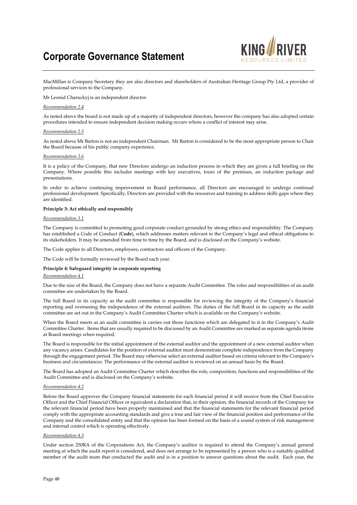

MacMillan is Company Secretary they are also directors and shareholders of Australian Heritage Group Pty Ltd, a provider of professional services to the Company.

Mr Leonid Charuckyj is an independent director.

## *Recommendation 2.4*

As noted above the board is not made up of a majority of independent directors, however the company has also adopted certain procedures intended to ensure independent decision making occurs where a conflict of interest may arise.

#### *Recommendation 2.5*

As noted above Mr Barton is not an independent Chairman. Mr Barton is considered to be the most appropriate person to Chair the Board because of his public company experience.

#### *Recommendation 2.6*

It is a policy of the Company, that new Directors undergo an induction process in which they are given a full briefing on the Company. Where possible this includes meetings with key executives, tours of the premises, an induction package and presentations.

In order to achieve continuing improvement in Board performance, all Directors are encouraged to undergo continual professional development. Specifically, Directors are provided with the resources and training to address skills gaps where they are identified.

#### **Principle 3: Act ethically and responsibly**

#### *Recommendation 3.1*

The Company is committed to promoting good corporate conduct grounded by strong ethics and responsibility. The Company has established a Code of Conduct (**Code**), which addresses matters relevant to the Company's legal and ethical obligations to its stakeholders. It may be amended from time to time by the Board, and is disclosed on the Company's website.

The Code applies to all Directors, employees, contractors and officers of the Company.

The Code will be formally reviewed by the Board each year.

### **Principle 4: Safeguard integrity in corporate reporting**

#### *Recommendation 4.1*

Due to the size of the Board, the Company does not have a separate Audit Committee. The roles and responsibilities of an audit committee are undertaken by the Board.

The full Board in its capacity as the audit committee is responsible for reviewing the integrity of the Company's financial reporting and overseeing the independence of the external auditors. The duties of the full Board in its capacity as the audit committee are set out in the Company's Audit Committee Charter which is available on the Company's website.

When the Board meets as an audit committee is carries out those functions which are delegated to it in the Company's Audit Committee Charter. Items that are usually required to be discussed by an Audit Committee are marked as separate agenda items at Board meetings when required.

The Board is responsible for the initial appointment of the external auditor and the appointment of a new external auditor when any vacancy arises. Candidates for the position of external auditor must demonstrate complete independence from the Company through the engagement period. The Board may otherwise select an external auditor based on criteria relevant to the Company's business and circumstances. The performance of the external auditor is reviewed on an annual basis by the Board.

The Board has adopted an Audit Committee Charter which describes the role, composition, functions and responsibilities of the Audit Committee and is disclosed on the Company's website.

#### *Recommendation 4.2*

Before the Board approves the Company financial statements for each financial period it will receive from the Chief Executive Officer and the Chief Financial Officer or equivalent a declaration that, in their opinion, the financial records of the Company for the relevant financial period have been properly maintained and that the financial statements for the relevant financial period comply with the appropriate accounting standards and give a true and fair view of the financial position and performance of the Company and the consolidated entity and that the opinion has been formed on the basis of a sound system of risk management and internal control which is operating effectively.

### *Recommendation 4.3*

Under section 250RA of the Corporations Act, the Company's auditor is required to attend the Company's annual general meeting at which the audit report is considered, and does not arrange to be represented by a person who is a suitably qualified member of the audit team that conducted the audit and is in a position to answer questions about the audit. Each year, the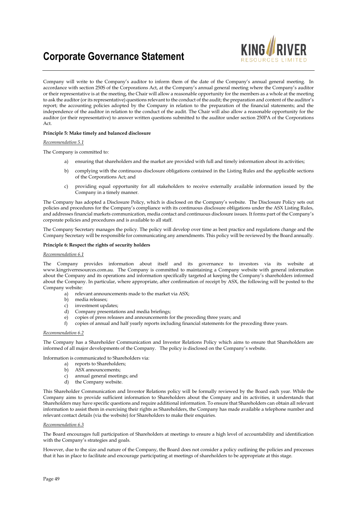

Company will write to the Company's auditor to inform them of the date of the Company's annual general meeting. In accordance with section 250S of the Corporations Act, at the Company's annual general meeting where the Company's auditor or their representative is at the meeting, the Chair will allow a reasonable opportunity for the members as a whole at the meeting to ask the auditor (or its representative) questions relevant to the conduct of the audit; the preparation and content of the auditor's report; the accounting policies adopted by the Company in relation to the preparation of the financial statements; and the independence of the auditor in relation to the conduct of the audit. The Chair will also allow a reasonable opportunity for the auditor (or their representative) to answer written questions submitted to the auditor under section 250PA of the Corporations  $Act$ 

#### **Principle 5: Make timely and balanced disclosure**

#### *Recommendation 5.1*

The Company is committed to:

- a) ensuring that shareholders and the market are provided with full and timely information about its activities;
- b) complying with the continuous disclosure obligations contained in the Listing Rules and the applicable sections of the Corporations Act; and
- c) providing equal opportunity for all stakeholders to receive externally available information issued by the Company in a timely manner.

The Company has adopted a Disclosure Policy, which is disclosed on the Company's website. The Disclosure Policy sets out policies and procedures for the Company's compliance with its continuous disclosure obligations under the ASX Listing Rules, and addresses financial markets communication, media contact and continuous disclosure issues. It forms part of the Company's corporate policies and procedures and is available to all staff.

The Company Secretary manages the policy. The policy will develop over time as best practice and regulations change and the Company Secretary will be responsible for communicating any amendments. This policy will be reviewed by the Board annually.

# **Principle 6: Respect the rights of security holders**

#### *Recommendation 6.1*

The Company provides information about itself and its governance to investors via its website at www.kingriverresources.com.au. The Company is committed to maintaining a Company website with general information about the Company and its operations and information specifically targeted at keeping the Company's shareholders informed about the Company. In particular, where appropriate, after confirmation of receipt by ASX, the following will be posted to the Company website:

- a) relevant announcements made to the market via ASX;
- b) media releases;
- c) investment updates;
- d) Company presentations and media briefings;
- e) copies of press releases and announcements for the preceding three years; and
- f) copies of annual and half yearly reports including financial statements for the preceding three years.

#### *Recommendation 6.2*

The Company has a Shareholder Communication and Investor Relations Policy which aims to ensure that Shareholders are informed of all major developments of the Company. The policy is disclosed on the Company's website.

Information is communicated to Shareholders via:

- a) reports to Shareholders;
- b) ASX announcements;
- c) annual general meetings; and
- d) the Company website.

This Shareholder Communication and Investor Relations policy will be formally reviewed by the Board each year. While the Company aims to provide sufficient information to Shareholders about the Company and its activities, it understands that Shareholders may have specific questions and require additional information. To ensure that Shareholders can obtain all relevant information to assist them in exercising their rights as Shareholders, the Company has made available a telephone number and relevant contact details (via the website) for Shareholders to make their enquiries.

#### *Recommendation 6.3*

The Board encourages full participation of Shareholders at meetings to ensure a high level of accountability and identification with the Company's strategies and goals.

However, due to the size and nature of the Company, the Board does not consider a policy outlining the policies and processes that it has in place to facilitate and encourage participating at meetings of shareholders to be appropriate at this stage.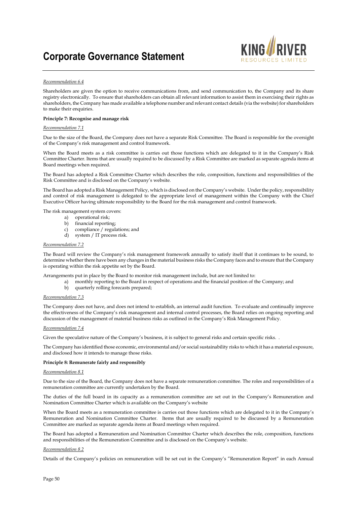

#### *Recommendation 6.4*

Shareholders are given the option to receive communications from, and send communication to, the Company and its share registry electronically. To ensure that shareholders can obtain all relevant information to assist them in exercising their rights as shareholders, the Company has made available a telephone number and relevant contact details (via the website) for shareholders to make their enquiries.

#### **Principle 7: Recognise and manage risk**

#### *Recommendation 7.1*

Due to the size of the Board, the Company does not have a separate Risk Committee. The Board is responsible for the oversight of the Company's risk management and control framework.

When the Board meets as a risk committee is carries out those functions which are delegated to it in the Company's Risk Committee Charter. Items that are usually required to be discussed by a Risk Committee are marked as separate agenda items at Board meetings when required.

The Board has adopted a Risk Committee Charter which describes the role, composition, functions and responsibilities of the Risk Committee and is disclosed on the Company's website.

The Board has adopted a Risk Management Policy, which is disclosed on the Company's website. Under the policy, responsibility and control of risk management is delegated to the appropriate level of management within the Company with the Chief Executive Officer having ultimate responsibility to the Board for the risk management and control framework.

The risk management system covers:

- a) operational risk;
- b) financial reporting;
- c) compliance / regulations; and
- d) system / IT process risk.

### *Recommendation 7.2*

The Board will review the Company's risk management framework annually to satisfy itself that it continues to be sound, to determine whether there have been any changes in the material business risks the Company faces and to ensure that the Company is operating within the risk appetite set by the Board.

Arrangements put in place by the Board to monitor risk management include, but are not limited to:

- a) monthly reporting to the Board in respect of operations and the financial position of the Company; and
	- b) quarterly rolling forecasts prepared;

#### *Recommendation 7.3*

The Company does not have, and does not intend to establish, an internal audit function. To evaluate and continually improve the effectiveness of the Company's risk management and internal control processes, the Board relies on ongoing reporting and discussion of the management of material business risks as outlined in the Company's Risk Management Policy.

#### *Recommendation 7.4*

Given the speculative nature of the Company's business, it is subject to general risks and certain specific risks. .

The Company has identified those economic, environmental and/or social sustainability risks to which it has a material exposure, and disclosed how it intends to manage those risks.

#### **Principle 8: Remunerate fairly and responsibly**

#### *Recommendation 8.1*

Due to the size of the Board, the Company does not have a separate remuneration committee. The roles and responsibilities of a remuneration committee are currently undertaken by the Board.

The duties of the full board in its capacity as a remuneration committee are set out in the Company's Remuneration and Nomination Committee Charter which is available on the Company's website

When the Board meets as a remuneration committee is carries out those functions which are delegated to it in the Company's Remuneration and Nomination Committee Charter. Items that are usually required to be discussed by a Remuneration Committee are marked as separate agenda items at Board meetings when required.

The Board has adopted a Remuneration and Nomination Committee Charter which describes the role, composition, functions and responsibilities of the Remuneration Committee and is disclosed on the Company's website.

#### *Recommendation 8.2*

Details of the Company's policies on remuneration will be set out in the Company's "Remuneration Report" in each Annual